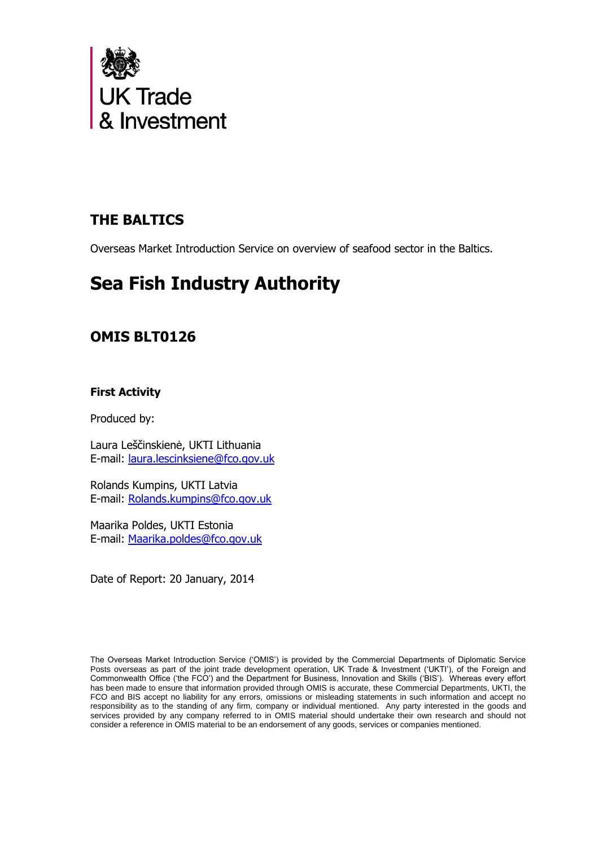

# **THE BALTICS**

Overseas Market Introduction Service on overview of seafood sector in the Baltics.

# **Sea Fish Industry Authority**

# **OMIS BLT0126**

# **First Activity**

Produced by:

Laura Leščinskienė, UKTI Lithuania E-mail: [laura.lescinksiene@fco.gov.uk](mailto:laura.lescinksiene@fco.gov.uk)

Rolands Kumpins, UKTI Latvia E-mail: [Rolands.kumpins@fco.gov.uk](mailto:Rolands.kumpins@fco.gov.uk)

Maarika Poldes, UKTI Estonia E-mail: [Maarika.poldes@fco.gov.uk](mailto:Maarika.poldes@fco.gov.uk)

Date of Report: 20 January, 2014

The Overseas Market Introduction Service ('OMIS') is provided by the Commercial Departments of Diplomatic Service Posts overseas as part of the joint trade development operation, UK Trade & Investment ('UKTI'), of the Foreign and Commonwealth Office ('the FCO') and the Department for Business, Innovation and Skills ('BIS'). Whereas every effort has been made to ensure that information provided through OMIS is accurate, these Commercial Departments, UKTI, the FCO and BIS accept no liability for any errors, omissions or misleading statements in such information and accept no responsibility as to the standing of any firm, company or individual mentioned. Any party interested in the goods and services provided by any company referred to in OMIS material should undertake their own research and should not consider a reference in OMIS material to be an endorsement of any goods, services or companies mentioned.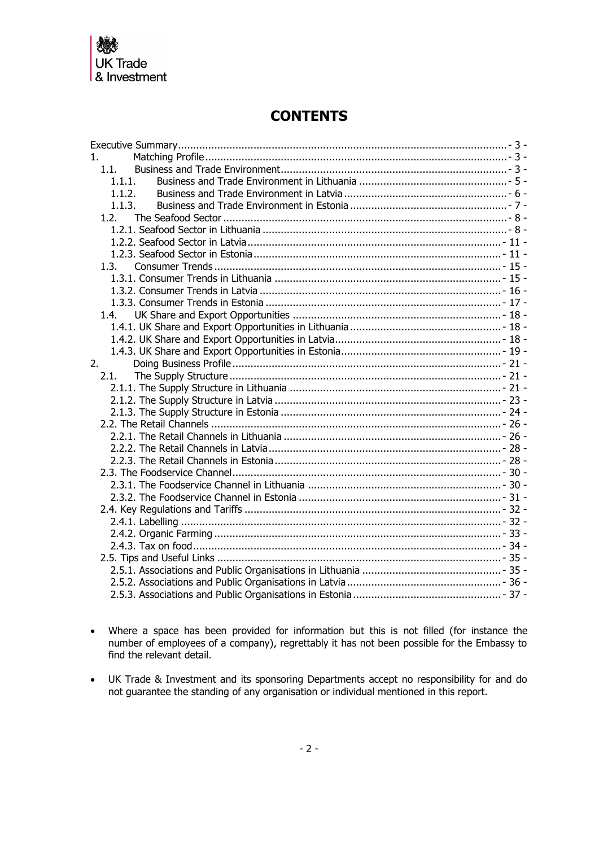

# **CONTENTS**

| 1 <sub>1</sub> |  |
|----------------|--|
| 1.1.           |  |
| 1.1.1.         |  |
| 1.1.2.         |  |
| 1.1.3.         |  |
| 1.2.           |  |
|                |  |
|                |  |
|                |  |
| 1.3.           |  |
|                |  |
|                |  |
|                |  |
| 1.4.           |  |
|                |  |
|                |  |
|                |  |
| 2.             |  |
| 2.1.           |  |
|                |  |
|                |  |
|                |  |
|                |  |
|                |  |
|                |  |
|                |  |
|                |  |
|                |  |
|                |  |
|                |  |
|                |  |
|                |  |
|                |  |
|                |  |
|                |  |
|                |  |
|                |  |
|                |  |

- Where a space has been provided for information but this is not filled (for instance the number of employees of a company), regrettably it has not been possible for the Embassy to find the relevant detail.
- UK Trade & Investment and its sponsoring Departments accept no responsibility for and do not guarantee the standing of any organisation or individual mentioned in this report.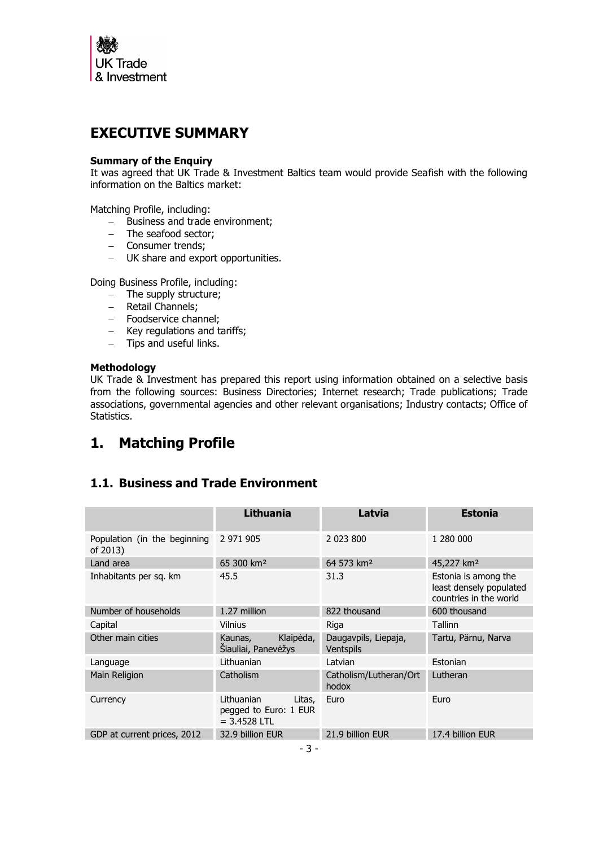

# <span id="page-2-0"></span>**EXECUTIVE SUMMARY**

### **Summary of the Enquiry**

It was agreed that UK Trade & Investment Baltics team would provide Seafish with the following information on the Baltics market:

Matching Profile, including:

- Business and trade environment;
- The seafood sector;
- Consumer trends;
- UK share and export opportunities.

Doing Business Profile, including:

- The supply structure:
- $-$  Retail Channels;
- Foodservice channel:
- Key regulations and tariffs;
- $-$  Tips and useful links.

#### **Methodology**

UK Trade & Investment has prepared this report using information obtained on a selective basis from the following sources: Business Directories; Internet research; Trade publications; Trade associations, governmental agencies and other relevant organisations; Industry contacts; Office of Statistics.

# <span id="page-2-1"></span>**1. Matching Profile**

# <span id="page-2-2"></span>**1.1. Business and Trade Environment**

|                                          | <b>Lithuania</b>                                                | Latvia                            | <b>Estonia</b>                                                            |
|------------------------------------------|-----------------------------------------------------------------|-----------------------------------|---------------------------------------------------------------------------|
| Population (in the beginning<br>of 2013) | 2 971 905                                                       | 2 023 800                         | 1 280 000                                                                 |
| Land area                                | 65 300 km <sup>2</sup>                                          | 64 573 km <sup>2</sup>            | 45,227 km <sup>2</sup>                                                    |
| Inhabitants per sq. km                   | 45.5                                                            | 31.3                              | Estonia is among the<br>least densely populated<br>countries in the world |
| Number of households                     | 1.27 million                                                    | 822 thousand                      | 600 thousand                                                              |
| Capital                                  | Vilnius                                                         | Riga                              | Tallinn                                                                   |
| Other main cities                        | Klaipėda,<br>Kaunas,<br>Šiauliai, Panevėžys                     | Daugavpils, Liepaja,<br>Ventspils | Tartu, Pärnu, Narva                                                       |
| Language                                 | Lithuanian                                                      | Latvian                           | Estonian                                                                  |
| Main Religion                            | Catholism                                                       | Catholism/Lutheran/Ort<br>hodox   | Lutheran                                                                  |
| Currency                                 | Lithuanian<br>Litas,<br>pegged to Euro: 1 EUR<br>$= 3.4528$ LTL | Euro                              | Euro                                                                      |
| GDP at current prices, 2012              | 32.9 billion EUR                                                | 21.9 billion EUR                  | 17.4 billion EUR                                                          |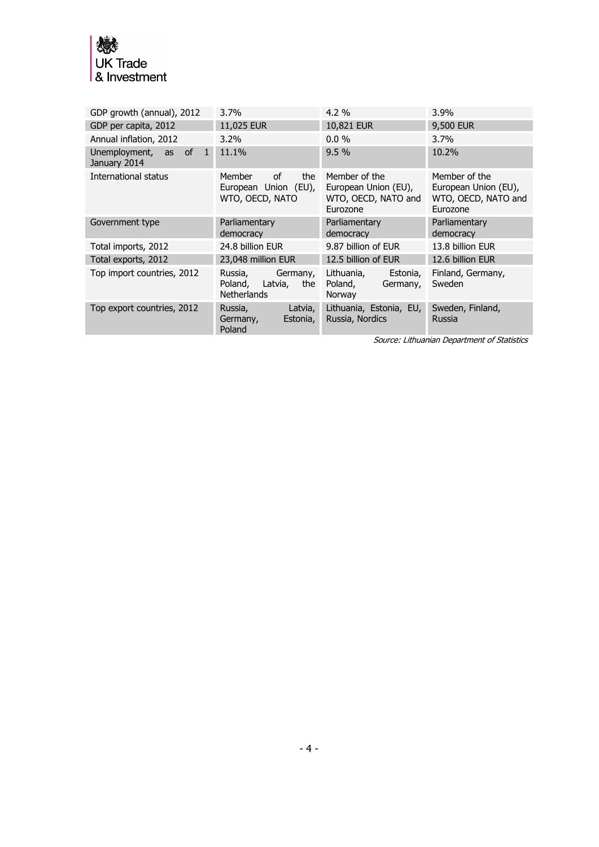

| GDP growth (annual), 2012             | 3.7%                                                                | $4.2\%$                                                                  | $3.9\%$                                                                  |
|---------------------------------------|---------------------------------------------------------------------|--------------------------------------------------------------------------|--------------------------------------------------------------------------|
| GDP per capita, 2012                  | 11,025 EUR                                                          | 10,821 EUR                                                               | 9,500 EUR                                                                |
| Annual inflation, 2012                | $3.2\%$                                                             | $0.0\%$                                                                  | $3.7\%$                                                                  |
| Unemployment, as of 1<br>January 2014 | 11.1%                                                               | 9.5%                                                                     | 10.2%                                                                    |
| International status                  | of<br>the<br>Member<br>European Union (EU),<br>WTO, OECD, NATO      | Member of the<br>European Union (EU),<br>WTO, OECD, NATO and<br>Eurozone | Member of the<br>European Union (EU),<br>WTO, OECD, NATO and<br>Eurozone |
| Government type                       | Parliamentary<br>democracy                                          | Parliamentary<br>democracy                                               | Parliamentary<br>democracy                                               |
| Total imports, 2012                   | 24.8 billion EUR                                                    | 9.87 billion of EUR                                                      | 13.8 billion EUR                                                         |
| Total exports, 2012                   | 23,048 million EUR                                                  | 12.5 billion of EUR                                                      | 12.6 billion EUR                                                         |
| Top import countries, 2012            | Germany,<br>Russia,<br>Poland, Latvia,<br>the<br><b>Netherlands</b> | Lithuania,<br>Estonia,<br>Poland,<br>Germany,<br>Norway                  | Finland, Germany,<br>Sweden                                              |
| Top export countries, 2012            | Russia,<br>Latvia,<br>Germany,<br>Estonia,<br>Poland                | Lithuania, Estonia, EU,<br>Russia, Nordics                               | Sweden, Finland,<br>Russia                                               |

Source: Lithuanian Department of Statistics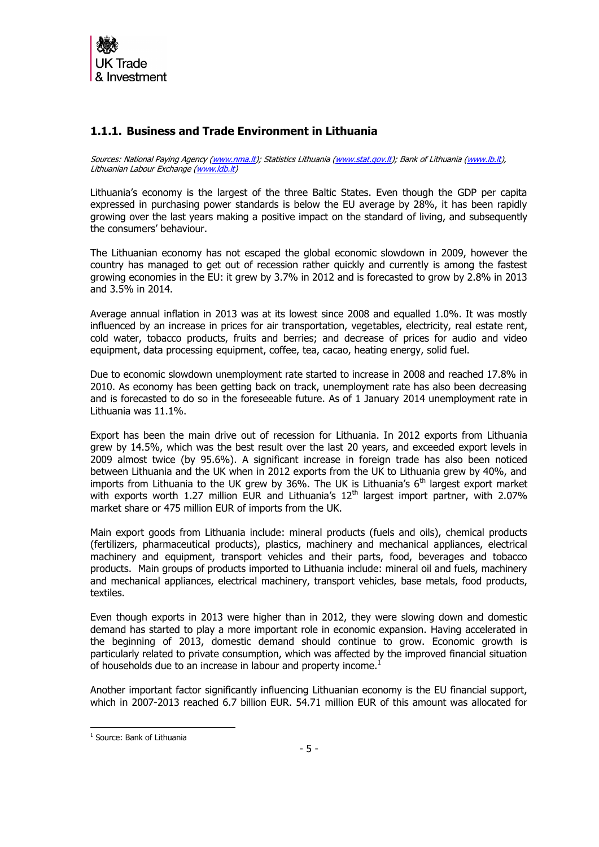

# <span id="page-4-0"></span>**1.1.1. Business and Trade Environment in Lithuania**

Sources: National Paying Agency [\(www.nma.lt\)](http://www.nma.lt/); Statistics Lithuania [\(www.stat.gov.lt\)](http://www.stat.gov.lt/); Bank of Lithuania [\(www.lb.lt\)](http://www.lb.lt/), Lithuanian Labour Exchange [\(www.ldb.lt\)](http://www.ldb.lt/)

Lithuania's economy is the largest of the three Baltic States. Even though the GDP per capita expressed in purchasing power standards is below the EU average by 28%, it has been rapidly growing over the last years making a positive impact on the standard of living, and subsequently the consumers' behaviour.

The Lithuanian economy has not escaped the global economic slowdown in 2009, however the country has managed to get out of recession rather quickly and currently is among the fastest growing economies in the EU: it grew by 3.7% in 2012 and is forecasted to grow by 2.8% in 2013 and 3.5% in 2014.

Average annual inflation in 2013 was at its lowest since 2008 and equalled 1.0%. It was mostly influenced by an increase in prices for air transportation, vegetables, electricity, real estate rent, cold water, tobacco products, fruits and berries; and decrease of prices for audio and video equipment, data processing equipment, coffee, tea, cacao, heating energy, solid fuel.

Due to economic slowdown unemployment rate started to increase in 2008 and reached 17.8% in 2010. As economy has been getting back on track, unemployment rate has also been decreasing and is forecasted to do so in the foreseeable future. As of 1 January 2014 unemployment rate in Lithuania was 11.1%.

Export has been the main drive out of recession for Lithuania. In 2012 exports from Lithuania grew by 14.5%, which was the best result over the last 20 years, and exceeded export levels in 2009 almost twice (by 95.6%). A significant increase in foreign trade has also been noticed between Lithuania and the UK when in 2012 exports from the UK to Lithuania grew by 40%, and imports from Lithuania to the UK grew by 36%. The UK is Lithuania's  $6<sup>th</sup>$  largest export market with exports worth 1.27 million EUR and Lithuania's  $12<sup>th</sup>$  largest import partner, with 2.07% market share or 475 million EUR of imports from the UK.

Main export goods from Lithuania include: mineral products (fuels and oils), chemical products (fertilizers, pharmaceutical products), plastics, machinery and mechanical appliances, electrical machinery and equipment, transport vehicles and their parts, food, beverages and tobacco products. Main groups of products imported to Lithuania include: mineral oil and fuels, machinery and mechanical appliances, electrical machinery, transport vehicles, base metals, food products, textiles.

Even though exports in 2013 were higher than in 2012, they were slowing down and domestic demand has started to play a more important role in economic expansion. Having accelerated in the beginning of 2013, domestic demand should continue to grow. Economic growth is particularly related to private consumption, which was affected by the improved financial situation of households due to an increase in labour and property income.<sup>1</sup>

Another important factor significantly influencing Lithuanian economy is the EU financial support, which in 2007-2013 reached 6.7 billion EUR. 54.71 million EUR of this amount was allocated for

<sup>-</sup>1 Source: Bank of Lithuania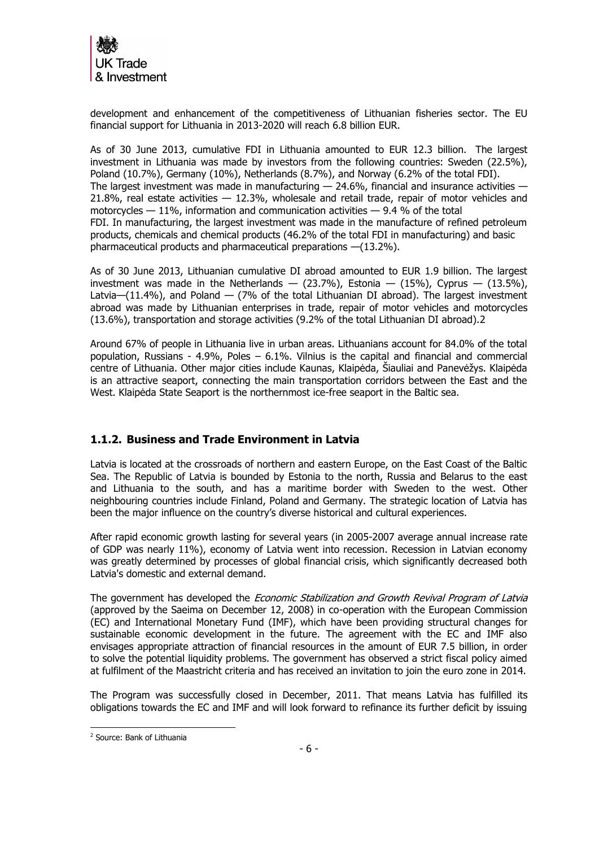

development and enhancement of the competitiveness of Lithuanian fisheries sector. The EU financial support for Lithuania in 2013-2020 will reach 6.8 billion EUR.

As of 30 June 2013, cumulative FDI in Lithuania amounted to EUR 12.3 billion. The largest investment in Lithuania was made by investors from the following countries: Sweden (22.5%), Poland (10.7%), Germany (10%), Netherlands (8.7%), and Norway (6.2% of the total FDI). The largest investment was made in manufacturing  $-$  24.6%, financial and insurance activities  $-$ 21.8%, real estate activities  $-$  12.3%, wholesale and retail trade, repair of motor vehicles and motorcycles  $-11\%$ , information and communication activities  $-9.4\%$  of the total FDI. In manufacturing, the largest investment was made in the manufacture of refined petroleum products, chemicals and chemical products (46.2% of the total FDI in manufacturing) and basic pharmaceutical products and pharmaceutical preparations —(13.2%).

As of 30 June 2013, Lithuanian cumulative DI abroad amounted to EUR 1.9 billion. The largest investment was made in the Netherlands  $-$  (23.7%), Estonia  $-$  (15%), Cyprus  $-$  (13.5%), Latvia— $(11.4\%)$ , and Poland — (7% of the total Lithuanian DI abroad). The largest investment abroad was made by Lithuanian enterprises in trade, repair of motor vehicles and motorcycles (13.6%), transportation and storage activities (9.2% of the total Lithuanian DI abroad).2

Around 67% of people in Lithuania live in urban areas. Lithuanians account for 84.0% of the total population, Russians -  $4.9\%$ , Poles  $-6.1\%$ . Vilnius is the capital and financial and commercial centre of Lithuania. Other major cities include Kaunas, Klaipėda, Šiauliai and Panevėžys. Klaipėda is an attractive seaport, connecting the main transportation corridors between the East and the West. Klaipėda State Seaport is the northernmost ice-free seaport in the Baltic sea.

# <span id="page-5-0"></span>**1.1.2. Business and Trade Environment in Latvia**

Latvia is located at the crossroads of northern and eastern Europe, on the East Coast of the Baltic Sea. The Republic of Latvia is bounded by Estonia to the north, Russia and Belarus to the east and Lithuania to the south, and has a maritime border with Sweden to the west. Other neighbouring countries include Finland, Poland and Germany. The strategic location of Latvia has been the major influence on the country's diverse historical and cultural experiences.

After rapid economic growth lasting for several years (in 2005-2007 average annual increase rate of GDP was nearly 11%), economy of Latvia went into recession. Recession in Latvian economy was greatly determined by processes of global financial crisis, which significantly decreased both Latvia's domestic and external demand.

The government has developed the *Economic Stabilization and Growth Revival Program of Latvia* (approved by the Saeima on December 12, 2008) in co-operation with the European Commission (EC) and International Monetary Fund (IMF), which have been providing structural changes for sustainable economic development in the future. The agreement with the EC and IMF also envisages appropriate attraction of financial resources in the amount of EUR 7.5 billion, in order to solve the potential liquidity problems. The government has observed a strict fiscal policy aimed at fulfilment of the Maastricht criteria and has received an invitation to join the euro zone in 2014.

The Program was successfully closed in December, 2011. That means Latvia has fulfilled its obligations towards the EC and IMF and will look forward to refinance its further deficit by issuing

<sup>-</sup>2 Source: Bank of Lithuania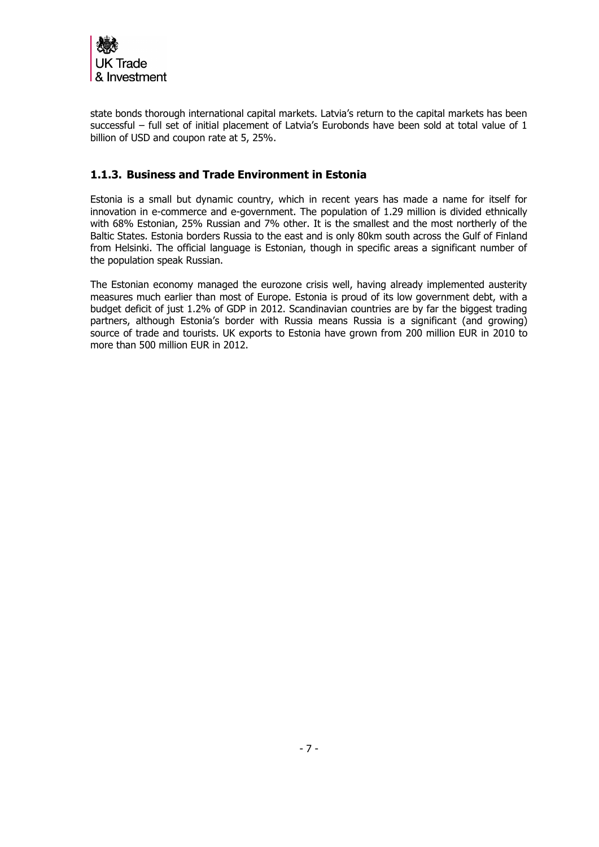

state bonds thorough international capital markets. Latvia's return to the capital markets has been successful – full set of initial placement of Latvia's Eurobonds have been sold at total value of 1 billion of USD and coupon rate at 5, 25%.

## <span id="page-6-0"></span>**1.1.3. Business and Trade Environment in Estonia**

Estonia is a small but dynamic country, which in recent years has made a name for itself for innovation in e-commerce and e-government. The population of 1.29 million is divided ethnically with 68% Estonian, 25% Russian and 7% other. It is the smallest and the most northerly of the Baltic States. Estonia borders Russia to the east and is only 80km south across the Gulf of Finland from Helsinki. The official language is Estonian, though in specific areas a significant number of the population speak Russian.

The Estonian economy managed the eurozone crisis well, having already implemented austerity measures much earlier than most of Europe. Estonia is proud of its low government debt, with a budget deficit of just 1.2% of GDP in 2012. Scandinavian countries are by far the biggest trading partners, although Estonia's border with Russia means Russia is a significant (and growing) source of trade and tourists. UK exports to Estonia have grown from 200 million EUR in 2010 to more than 500 million EUR in 2012.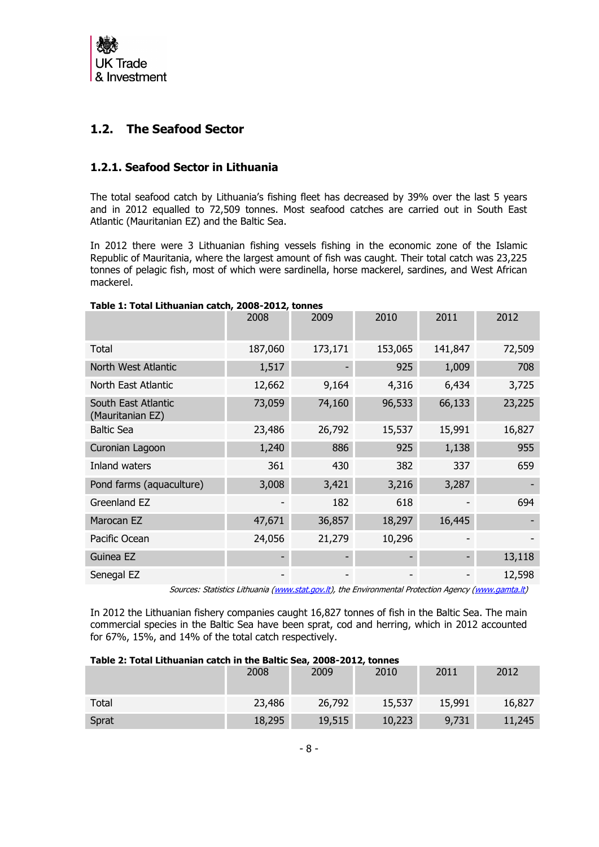

# <span id="page-7-0"></span>**1.2. The Seafood Sector**

### <span id="page-7-1"></span>**1.2.1. Seafood Sector in Lithuania**

The total seafood catch by Lithuania's fishing fleet has decreased by 39% over the last 5 years and in 2012 equalled to 72,509 tonnes. Most seafood catches are carried out in South East Atlantic (Mauritanian EZ) and the Baltic Sea.

In 2012 there were 3 Lithuanian fishing vessels fishing in the economic zone of the Islamic Republic of Mauritania, where the largest amount of fish was caught. Their total catch was 23,225 tonnes of pelagic fish, most of which were sardinella, horse mackerel, sardines, and West African mackerel.

| rabic 1. Total Litriaanian cattii, 2000 2012, toimes | 2008    | 2009    | 2010    | 2011    | 2012   |
|------------------------------------------------------|---------|---------|---------|---------|--------|
| Total                                                | 187,060 | 173,171 | 153,065 | 141,847 | 72,509 |
| North West Atlantic                                  | 1,517   |         | 925     | 1,009   | 708    |
| North East Atlantic                                  | 12,662  | 9,164   | 4,316   | 6,434   | 3,725  |
| South East Atlantic<br>(Mauritanian EZ)              | 73,059  | 74,160  | 96,533  | 66,133  | 23,225 |
| <b>Baltic Sea</b>                                    | 23,486  | 26,792  | 15,537  | 15,991  | 16,827 |
| Curonian Lagoon                                      | 1,240   | 886     | 925     | 1,138   | 955    |
| <b>Inland waters</b>                                 | 361     | 430     | 382     | 337     | 659    |
| Pond farms (aquaculture)                             | 3,008   | 3,421   | 3,216   | 3,287   |        |
| Greenland EZ                                         |         | 182     | 618     |         | 694    |
| Marocan EZ                                           | 47,671  | 36,857  | 18,297  | 16,445  |        |
| Pacific Ocean                                        | 24,056  | 21,279  | 10,296  |         |        |
| Guinea EZ                                            |         |         |         |         | 13,118 |
| Senegal EZ                                           |         |         |         |         | 12,598 |

#### **Table 1: Total Lithuanian catch, 2008-2012, tonnes**

Sources: Statistics Lithuania [\(www.stat.gov.lt\)](http://www.stat.gov.lt/), the Environmental Protection Agency [\(www.gamta.lt\)](http://www.gamta.lt/)

In 2012 the Lithuanian fishery companies caught 16,827 tonnes of fish in the Baltic Sea. The main commercial species in the Baltic Sea have been sprat, cod and herring, which in 2012 accounted for 67%, 15%, and 14% of the total catch respectively.

#### **Table 2: Total Lithuanian catch in the Baltic Sea, 2008-2012, tonnes**

|       | 2008   | 2009   | 2010   | 2011   | 2012   |
|-------|--------|--------|--------|--------|--------|
| Total | 23,486 | 26,792 | 15,537 | 15,991 | 16,827 |
| Sprat | 18,295 | 19,515 | 10,223 | 9,731  | 11,245 |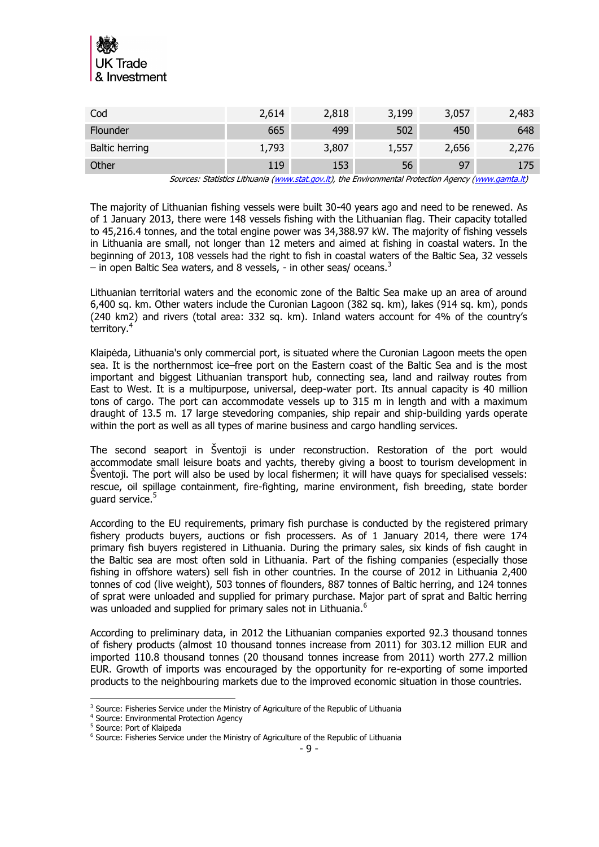

| Cod                   | 2,614 | 2,818 | 3,199 | 3,057 | 2,483 |
|-----------------------|-------|-------|-------|-------|-------|
| Flounder              | 665   | 499   | 502   | 450   | 648   |
| <b>Baltic herring</b> | 1,793 | 3,807 | 1,557 | 2,656 | 2,276 |
| Other                 | 119   | 153   | 56    | -97   | 175   |

Sources: Statistics Lithuania [\(www.stat.gov.lt\)](http://www.stat.gov.lt/), the Environmental Protection Agency [\(www.gamta.lt\)](http://www.gamta.lt/)

The majority of Lithuanian fishing vessels were built 30-40 years ago and need to be renewed. As of 1 January 2013, there were 148 vessels fishing with the Lithuanian flag. Their capacity totalled to 45,216.4 tonnes, and the total engine power was 34,388.97 kW. The majority of fishing vessels in Lithuania are small, not longer than 12 meters and aimed at fishing in coastal waters. In the beginning of 2013, 108 vessels had the right to fish in coastal waters of the Baltic Sea, 32 vessels – in open Baltic Sea waters, and 8 vessels,  $-$  in other seas/ oceans.<sup>3</sup>

Lithuanian territorial waters and the economic zone of the Baltic Sea make up an area of around 6,400 sq. km. Other waters include the Curonian Lagoon (382 sq. km), lakes (914 sq. km), ponds (240 km2) and rivers (total area: 332 sq. km). Inland waters account for 4% of the country's territory.<sup>4</sup>

Klaipėda, Lithuania's only commercial port, is situated where the Curonian Lagoon meets the open sea. It is the northernmost ice–free port on the Eastern coast of the Baltic Sea and is the most important and biggest Lithuanian transport hub, connecting sea, land and railway routes from East to West. It is a multipurpose, universal, deep-water port. Its annual capacity is 40 million tons of cargo. The port can accommodate vessels up to 315 m in length and with a maximum draught of 13.5 m. 17 large stevedoring companies, ship repair and ship-building yards operate within the port as well as all types of marine business and cargo handling services.

The second seaport in Šventoji is under reconstruction. Restoration of the port would accommodate small leisure boats and yachts, thereby giving a boost to tourism development in Šventoji. The port will also be used by local fishermen; it will have quays for specialised vessels: rescue, oil spillage containment, fire-fighting, marine environment, fish breeding, state border guard service.<sup>5</sup>

According to the EU requirements, primary fish purchase is conducted by the registered primary fishery products buyers, auctions or fish processers. As of 1 January 2014, there were 174 primary fish buyers registered in Lithuania. During the primary sales, six kinds of fish caught in the Baltic sea are most often sold in Lithuania. Part of the fishing companies (especially those fishing in offshore waters) sell fish in other countries. In the course of 2012 in Lithuania 2,400 tonnes of cod (live weight), 503 tonnes of flounders, 887 tonnes of Baltic herring, and 124 tonnes of sprat were unloaded and supplied for primary purchase. Major part of sprat and Baltic herring was unloaded and supplied for primary sales not in Lithuania.<sup>6</sup>

According to preliminary data, in 2012 the Lithuanian companies exported 92.3 thousand tonnes of fishery products (almost 10 thousand tonnes increase from 2011) for 303.12 million EUR and imported 110.8 thousand tonnes (20 thousand tonnes increase from 2011) worth 277.2 million EUR. Growth of imports was encouraged by the opportunity for re-exporting of some imported products to the neighbouring markets due to the improved economic situation in those countries.

 <sup>3</sup> Source: Fisheries Service under the Ministry of Agriculture of the Republic of Lithuania

<sup>4</sup> Source: Environmental Protection Agency

<sup>5</sup> Source: Port of Klaipeda

<sup>&</sup>lt;sup>6</sup> Source: Fisheries Service under the Ministry of Agriculture of the Republic of Lithuania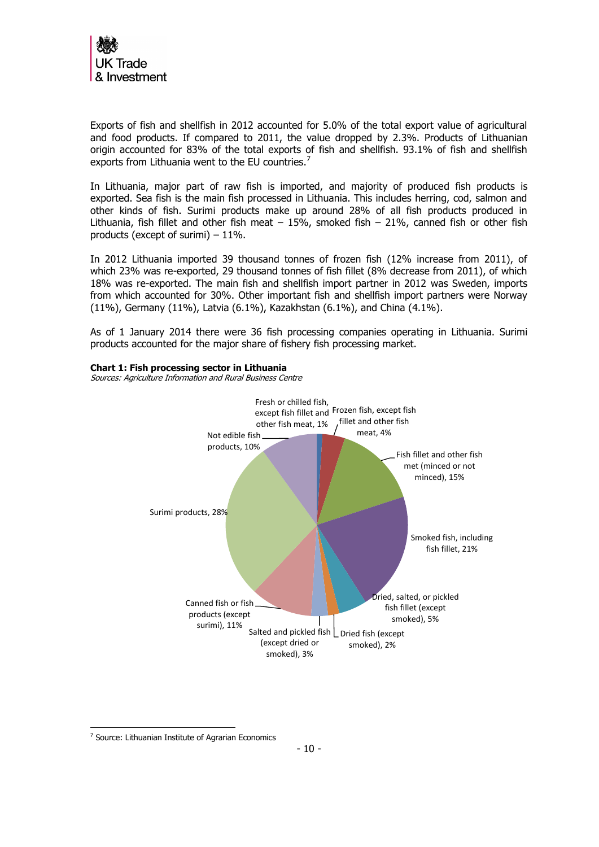

Exports of fish and shellfish in 2012 accounted for 5.0% of the total export value of agricultural and food products. If compared to 2011, the value dropped by 2.3%. Products of Lithuanian origin accounted for 83% of the total exports of fish and shellfish. 93.1% of fish and shellfish exports from Lithuania went to the EU countries.<sup>7</sup>

In Lithuania, major part of raw fish is imported, and majority of produced fish products is exported. Sea fish is the main fish processed in Lithuania. This includes herring, cod, salmon and other kinds of fish. Surimi products make up around 28% of all fish products produced in Lithuania, fish fillet and other fish meat  $-15%$ , smoked fish  $-21%$ , canned fish or other fish products (except of surimi) – 11%.

In 2012 Lithuania imported 39 thousand tonnes of frozen fish (12% increase from 2011), of which 23% was re-exported, 29 thousand tonnes of fish fillet (8% decrease from 2011), of which 18% was re-exported. The main fish and shellfish import partner in 2012 was Sweden, imports from which accounted for 30%. Other important fish and shellfish import partners were Norway (11%), Germany (11%), Latvia (6.1%), Kazakhstan (6.1%), and China (4.1%).

As of 1 January 2014 there were 36 fish processing companies operating in Lithuania. Surimi products accounted for the major share of fishery fish processing market.



#### **Chart 1: Fish processing sector in Lithuania**

Sources: Agriculture Information and Rural Business Centre

-

<sup>&</sup>lt;sup>7</sup> Source: Lithuanian Institute of Agrarian Economics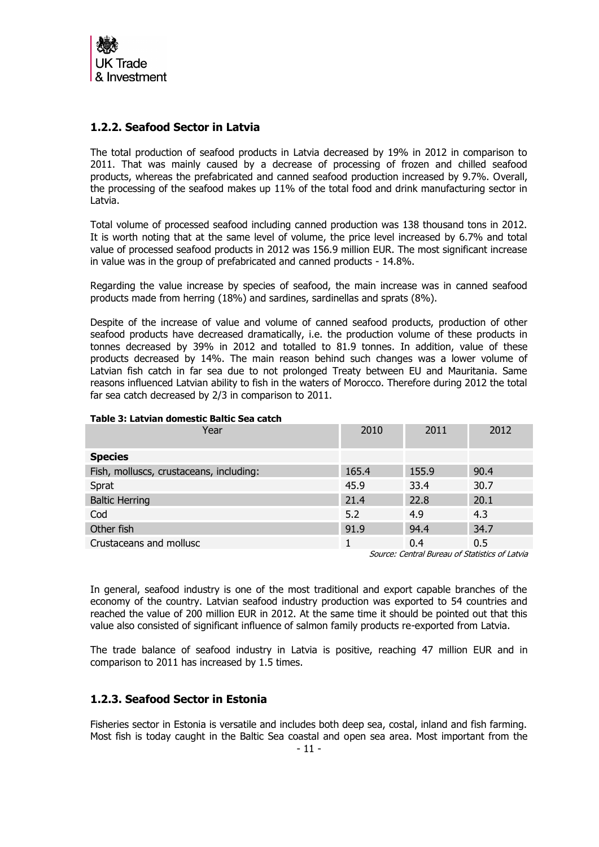

## <span id="page-10-0"></span>**1.2.2. Seafood Sector in Latvia**

The total production of seafood products in Latvia decreased by 19% in 2012 in comparison to 2011. That was mainly caused by a decrease of processing of frozen and chilled seafood products, whereas the prefabricated and canned seafood production increased by 9.7%. Overall, the processing of the seafood makes up 11% of the total food and drink manufacturing sector in Latvia.

Total volume of processed seafood including canned production was 138 thousand tons in 2012. It is worth noting that at the same level of volume, the price level increased by 6.7% and total value of processed seafood products in 2012 was 156.9 million EUR. The most significant increase in value was in the group of prefabricated and canned products - 14.8%.

Regarding the value increase by species of seafood, the main increase was in canned seafood products made from herring (18%) and sardines, sardinellas and sprats (8%).

Despite of the increase of value and volume of canned seafood products, production of other seafood products have decreased dramatically, i.e. the production volume of these products in tonnes decreased by 39% in 2012 and totalled to 81.9 tonnes. In addition, value of these products decreased by 14%. The main reason behind such changes was a lower volume of Latvian fish catch in far sea due to not prolonged Treaty between EU and Mauritania. Same reasons influenced Latvian ability to fish in the waters of Morocco. Therefore during 2012 the total far sea catch decreased by 2/3 in comparison to 2011.

| Table 5. Latviali dolliestic paltic 5ea catch |       |       |                                                  |
|-----------------------------------------------|-------|-------|--------------------------------------------------|
| Year                                          | 2010  | 2011  | 2012                                             |
| <b>Species</b>                                |       |       |                                                  |
| Fish, molluscs, crustaceans, including:       | 165.4 | 155.9 | 90.4                                             |
| Sprat                                         | 45.9  | 33.4  | 30.7                                             |
| <b>Baltic Herring</b>                         | 21.4  | 22.8  | 20.1                                             |
| Cod                                           | 5.2   | 4.9   | 4.3                                              |
| Other fish                                    | 91.9  | 94.4  | 34.7                                             |
| Crustaceans and mollusc                       | 1     | 0.4   | 0.5                                              |
|                                               |       |       | Course: Control Divorci of Chatistics of Late in |

# **Table 3: Latvian domestic Baltic Sea catch**

Source: Central Bureau of Statistics of Latvia

In general, seafood industry is one of the most traditional and export capable branches of the economy of the country. Latvian seafood industry production was exported to 54 countries and reached the value of 200 million EUR in 2012. At the same time it should be pointed out that this value also consisted of significant influence of salmon family products re-exported from Latvia.

The trade balance of seafood industry in Latvia is positive, reaching 47 million EUR and in comparison to 2011 has increased by 1.5 times.

### <span id="page-10-1"></span>**1.2.3. Seafood Sector in Estonia**

Fisheries sector in Estonia is versatile and includes both deep sea, costal, inland and fish farming. Most fish is today caught in the Baltic Sea coastal and open sea area. Most important from the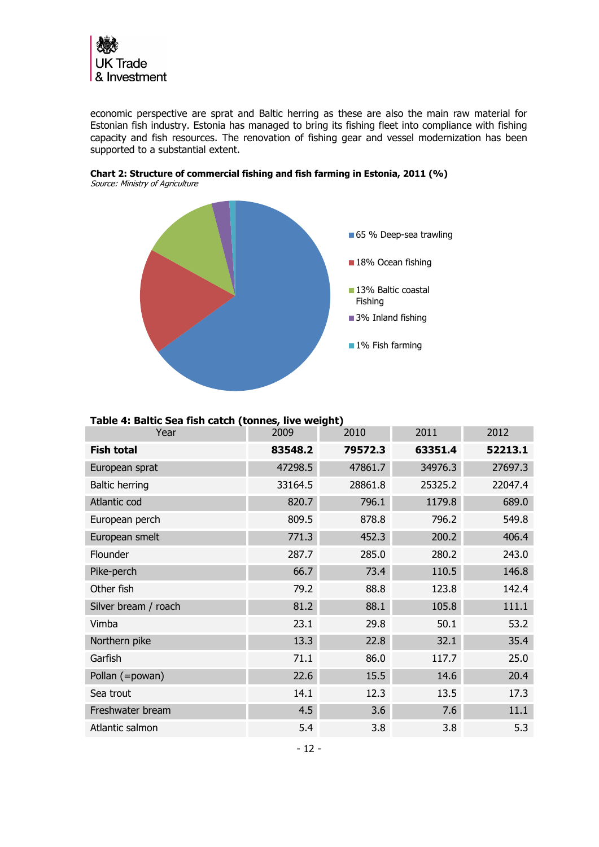

economic perspective are sprat and Baltic herring as these are also the main raw material for Estonian fish industry. Estonia has managed to bring its fishing fleet into compliance with fishing capacity and fish resources. The renovation of fishing gear and vessel modernization has been supported to a substantial extent.



**Chart 2: Structure of commercial fishing and fish farming in Estonia, 2011 (%)** Source: Ministry of Agriculture

| Table 4: Baltic Sea fish catch (tonnes, live weight) |
|------------------------------------------------------|
|------------------------------------------------------|

| Year                  | 2009    | 2010    | 2011    | 2012    |
|-----------------------|---------|---------|---------|---------|
| <b>Fish total</b>     | 83548.2 | 79572.3 | 63351.4 | 52213.1 |
| European sprat        | 47298.5 | 47861.7 | 34976.3 | 27697.3 |
| <b>Baltic herring</b> | 33164.5 | 28861.8 | 25325.2 | 22047.4 |
| Atlantic cod          | 820.7   | 796.1   | 1179.8  | 689.0   |
| European perch        | 809.5   | 878.8   | 796.2   | 549.8   |
| European smelt        | 771.3   | 452.3   | 200.2   | 406.4   |
| Flounder              | 287.7   | 285.0   | 280.2   | 243.0   |
| Pike-perch            | 66.7    | 73.4    | 110.5   | 146.8   |
| Other fish            | 79.2    | 88.8    | 123.8   | 142.4   |
| Silver bream / roach  | 81.2    | 88.1    | 105.8   | 111.1   |
| Vimba                 | 23.1    | 29.8    | 50.1    | 53.2    |
| Northern pike         | 13.3    | 22.8    | 32.1    | 35.4    |
| Garfish               | 71.1    | 86.0    | 117.7   | 25.0    |
| Pollan (=powan)       | 22.6    | 15.5    | 14.6    | 20.4    |
| Sea trout             | 14.1    | 12.3    | 13.5    | 17.3    |
| Freshwater bream      | 4.5     | 3.6     | 7.6     | 11.1    |
| Atlantic salmon       | 5.4     | 3.8     | 3.8     | 5.3     |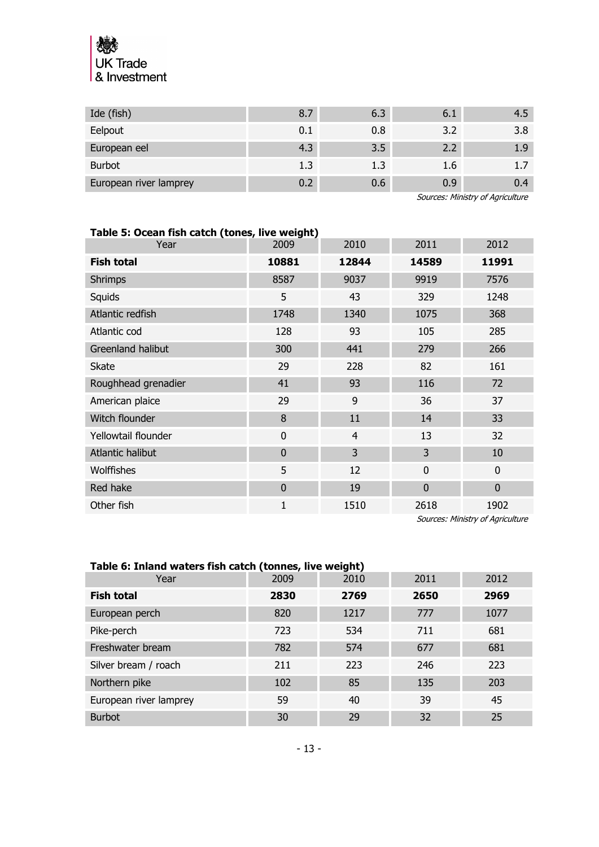

| Ide (fish)             | 8.7 | 6.3 | 6.1 | 4.5    |
|------------------------|-----|-----|-----|--------|
| Eelpout                | 0.1 | 0.8 | 3.2 | 3.8    |
| European eel           | 4.3 | 3.5 | 2.2 | 1.9    |
| <b>Burbot</b>          | 1.3 | 1.3 | 1.6 | $-1.7$ |
| European river lamprey | 0.2 | 0.6 | 0.9 | 0.4    |

Sources: Ministry of Agriculture

| Table 5: Ocean fish catch (tones, live weight) |              |                |              |             |  |  |
|------------------------------------------------|--------------|----------------|--------------|-------------|--|--|
| Year                                           | 2009         | 2010           | 2011         | 2012        |  |  |
| <b>Fish total</b>                              | 10881        | 12844          | 14589        | 11991       |  |  |
| <b>Shrimps</b>                                 | 8587         | 9037           | 9919         | 7576        |  |  |
| Squids                                         | 5            | 43             | 329          | 1248        |  |  |
| Atlantic redfish                               | 1748         | 1340           | 1075         | 368         |  |  |
| Atlantic cod                                   | 128          | 93             | 105          | 285         |  |  |
| Greenland halibut                              | 300          | 441            | 279          | 266         |  |  |
| <b>Skate</b>                                   | 29           | 228            | 82           | 161         |  |  |
| Roughhead grenadier                            | 41           | 93             | 116          | 72          |  |  |
| American plaice                                | 29           | 9              | 36           | 37          |  |  |
| Witch flounder                                 | 8            | 11             | 14           | 33          |  |  |
| Yellowtail flounder                            | $\mathbf{0}$ | $\overline{4}$ | 13           | 32          |  |  |
| Atlantic halibut                               | $\Omega$     | 3              | 3            | 10          |  |  |
| <b>Wolffishes</b>                              | 5            | 12             | $\mathbf{0}$ | $\mathbf 0$ |  |  |
| Red hake                                       | $\mathbf 0$  | 19             | $\mathbf 0$  | $\mathbf 0$ |  |  |
| Other fish                                     | 1            | 1510           | 2618         | 1902        |  |  |

Sources: Ministry of Agriculture

| Table 6: Inland waters fish catch (tonnes, live weight) |      |      |      |      |  |  |
|---------------------------------------------------------|------|------|------|------|--|--|
| Year                                                    | 2009 | 2010 | 2011 | 2012 |  |  |
| <b>Fish total</b>                                       | 2830 | 2769 | 2650 | 2969 |  |  |
| European perch                                          | 820  | 1217 | 777  | 1077 |  |  |
| Pike-perch                                              | 723  | 534  | 711  | 681  |  |  |
| Freshwater bream                                        | 782  | 574  | 677  | 681  |  |  |
| Silver bream / roach                                    | 211  | 223  | 246  | 223  |  |  |
| Northern pike                                           | 102  | 85   | 135  | 203  |  |  |
| European river lamprey                                  | 59   | 40   | 39   | 45   |  |  |
| <b>Burbot</b>                                           | 30   | 29   | 32   | 25   |  |  |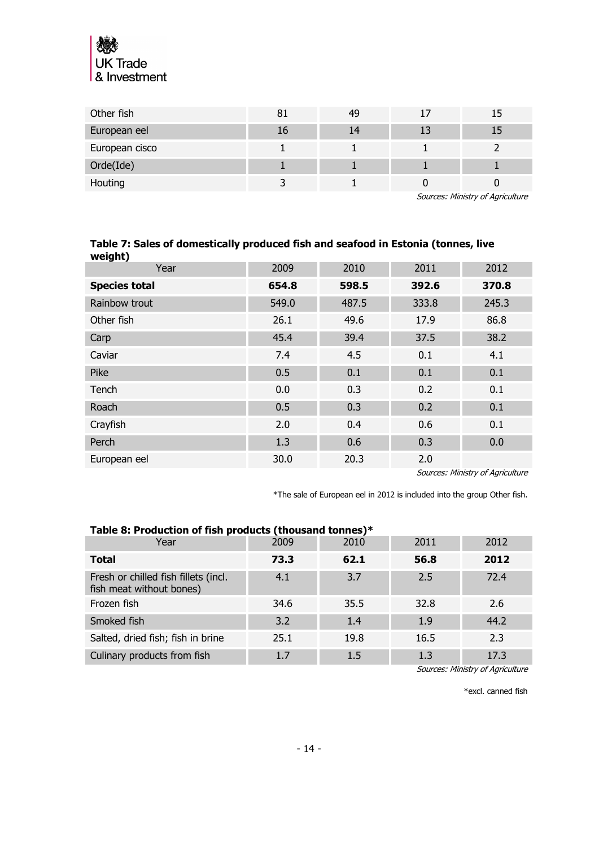

| Other fish     |    | 49 |  |
|----------------|----|----|--|
| European eel   | Τp | 14 |  |
| European cisco |    |    |  |
| Orde(Ide)      |    |    |  |
| Houting        |    |    |  |

Sources: Ministry of Agriculture

#### **Table 7: Sales of domestically produced fish and seafood in Estonia (tonnes, live weight)**

| Year                 | 2009  | 2010  | 2011  | 2012  |
|----------------------|-------|-------|-------|-------|
| <b>Species total</b> | 654.8 | 598.5 | 392.6 | 370.8 |
| Rainbow trout        | 549.0 | 487.5 | 333.8 | 245.3 |
| Other fish           | 26.1  | 49.6  | 17.9  | 86.8  |
| Carp                 | 45.4  | 39.4  | 37.5  | 38.2  |
| Caviar               | 7.4   | 4.5   | 0.1   | 4.1   |
| Pike                 | 0.5   | 0.1   | 0.1   | 0.1   |
| Tench                | 0.0   | 0.3   | 0.2   | 0.1   |
| Roach                | 0.5   | 0.3   | 0.2   | 0.1   |
| Crayfish             | 2.0   | 0.4   | 0.6   | 0.1   |
| Perch                | 1.3   | 0.6   | 0.3   | 0.0   |
| European eel         | 30.0  | 20.3  | 2.0   |       |

Sources: Ministry of Agriculture

\*The sale of European eel in 2012 is included into the group Other fish.

| Table 8: Production of fish products (thousand tonnes)*          |      |      |      |      |  |
|------------------------------------------------------------------|------|------|------|------|--|
| Year                                                             | 2009 | 2010 | 2011 | 2012 |  |
| <b>Total</b>                                                     | 73.3 | 62.1 | 56.8 | 2012 |  |
| Fresh or chilled fish fillets (incl.<br>fish meat without bones) | 4.1  | 3.7  | 2.5  | 72.4 |  |
| Frozen fish                                                      | 34.6 | 35.5 | 32.8 | 2.6  |  |
| Smoked fish                                                      | 3.2  | 1.4  | 1.9  | 44.2 |  |
| Salted, dried fish; fish in brine                                | 25.1 | 19.8 | 16.5 | 2.3  |  |
| Culinary products from fish                                      | 1.7  | 1.5  | 1.3  | 17.3 |  |

Sources: Ministry of Agriculture

\*excl. canned fish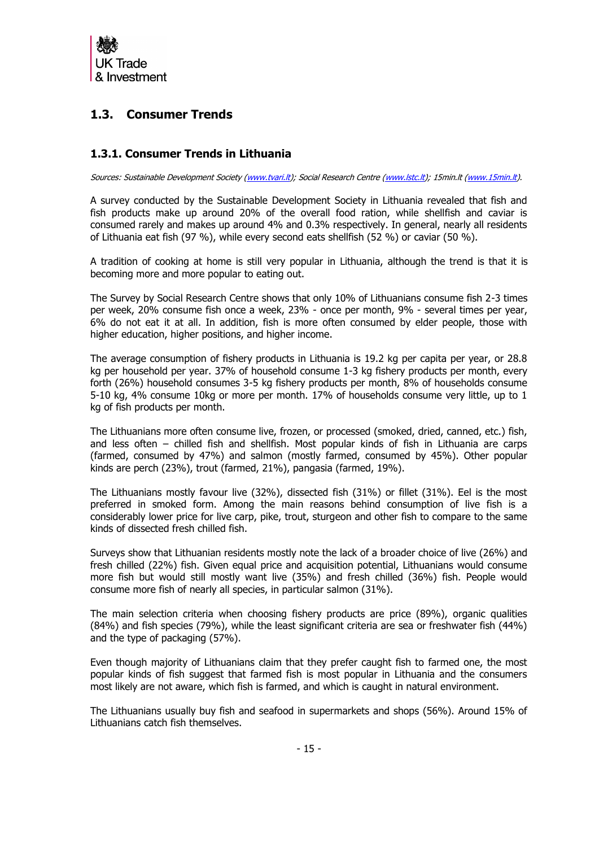

# <span id="page-14-0"></span>**1.3. Consumer Trends**

## <span id="page-14-1"></span>**1.3.1. Consumer Trends in Lithuania**

Sources: Sustainable Development Society [\(www.tvari.lt\)](http://www.tvari.lt/); Social Research Centre [\(www.lstc.lt\)](http://www.lstc.lt/); 15min.lt [\(www.15min.lt\)](http://www.15min.lt/).

A survey conducted by the Sustainable Development Society in Lithuania revealed that fish and fish products make up around 20% of the overall food ration, while shellfish and caviar is consumed rarely and makes up around 4% and 0.3% respectively. In general, nearly all residents of Lithuania eat fish (97 %), while every second eats shellfish (52 %) or caviar (50 %).

A tradition of cooking at home is still very popular in Lithuania, although the trend is that it is becoming more and more popular to eating out.

The Survey by Social Research Centre shows that only 10% of Lithuanians consume fish 2-3 times per week, 20% consume fish once a week, 23% - once per month, 9% - several times per year, 6% do not eat it at all. In addition, fish is more often consumed by elder people, those with higher education, higher positions, and higher income.

The average consumption of fishery products in Lithuania is 19.2 kg per capita per year, or 28.8 kg per household per year. 37% of household consume 1-3 kg fishery products per month, every forth (26%) household consumes 3-5 kg fishery products per month, 8% of households consume 5-10 kg, 4% consume 10kg or more per month. 17% of households consume very little, up to 1 kg of fish products per month.

The Lithuanians more often consume live, frozen, or processed (smoked, dried, canned, etc.) fish, and less often – chilled fish and shellfish. Most popular kinds of fish in Lithuania are carps (farmed, consumed by 47%) and salmon (mostly farmed, consumed by 45%). Other popular kinds are perch (23%), trout (farmed, 21%), pangasia (farmed, 19%).

The Lithuanians mostly favour live (32%), dissected fish (31%) or fillet (31%). Eel is the most preferred in smoked form. Among the main reasons behind consumption of live fish is a considerably lower price for live carp, pike, trout, sturgeon and other fish to compare to the same kinds of dissected fresh chilled fish.

Surveys show that Lithuanian residents mostly note the lack of a broader choice of live (26%) and fresh chilled (22%) fish. Given equal price and acquisition potential, Lithuanians would consume more fish but would still mostly want live (35%) and fresh chilled (36%) fish. People would consume more fish of nearly all species, in particular salmon (31%).

The main selection criteria when choosing fishery products are price (89%), organic qualities (84%) and fish species (79%), while the least significant criteria are sea or freshwater fish (44%) and the type of packaging (57%).

Even though majority of Lithuanians claim that they prefer caught fish to farmed one, the most popular kinds of fish suggest that farmed fish is most popular in Lithuania and the consumers most likely are not aware, which fish is farmed, and which is caught in natural environment.

The Lithuanians usually buy fish and seafood in supermarkets and shops (56%). Around 15% of Lithuanians catch fish themselves.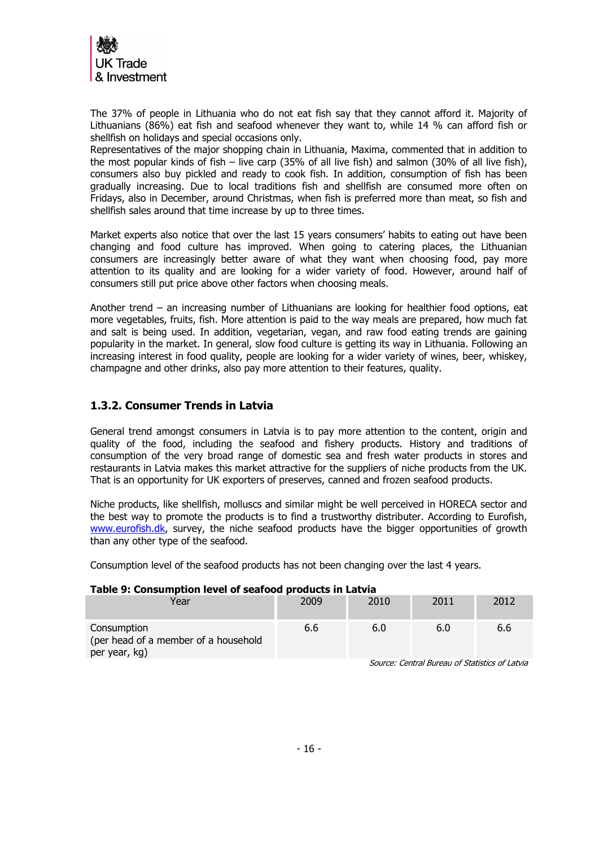

The 37% of people in Lithuania who do not eat fish say that they cannot afford it. Majority of Lithuanians (86%) eat fish and seafood whenever they want to, while 14 % can afford fish or shellfish on holidays and special occasions only.

Representatives of the major shopping chain in Lithuania, Maxima, commented that in addition to the most popular kinds of fish – live carp (35% of all live fish) and salmon (30% of all live fish), consumers also buy pickled and ready to cook fish. In addition, consumption of fish has been gradually increasing. Due to local traditions fish and shellfish are consumed more often on Fridays, also in December, around Christmas, when fish is preferred more than meat, so fish and shellfish sales around that time increase by up to three times.

Market experts also notice that over the last 15 years consumers' habits to eating out have been changing and food culture has improved. When going to catering places, the Lithuanian consumers are increasingly better aware of what they want when choosing food, pay more attention to its quality and are looking for a wider variety of food. However, around half of consumers still put price above other factors when choosing meals.

Another trend – an increasing number of Lithuanians are looking for healthier food options, eat more vegetables, fruits, fish. More attention is paid to the way meals are prepared, how much fat and salt is being used. In addition, vegetarian, vegan, and raw food eating trends are gaining popularity in the market. In general, slow food culture is getting its way in Lithuania. Following an increasing interest in food quality, people are looking for a wider variety of wines, beer, whiskey, champagne and other drinks, also pay more attention to their features, quality.

### <span id="page-15-0"></span>**1.3.2. Consumer Trends in Latvia**

General trend amongst consumers in Latvia is to pay more attention to the content, origin and quality of the food, including the seafood and fishery products. History and traditions of consumption of the very broad range of domestic sea and fresh water products in stores and restaurants in Latvia makes this market attractive for the suppliers of niche products from the UK. That is an opportunity for UK exporters of preserves, canned and frozen seafood products.

Niche products, like shellfish, molluscs and similar might be well perceived in HORECA sector and the best way to promote the products is to find a trustworthy distributer. According to Eurofish, [www.eurofish.dk,](http://www.eurofish.dk/) survey, the niche seafood products have the bigger opportunities of growth than any other type of the seafood.

Consumption level of the seafood products has not been changing over the last 4 years.

### **Table 9: Consumption level of seafood products in Latvia**

| Year                                                                 | 2009 | 2010 | 2011 | 2012 |
|----------------------------------------------------------------------|------|------|------|------|
| Consumption<br>(per head of a member of a household<br>per year, kg) | 6.6  | 6.0  | 6.0  | 6.6  |

Source: Central Bureau of Statistics of Latvia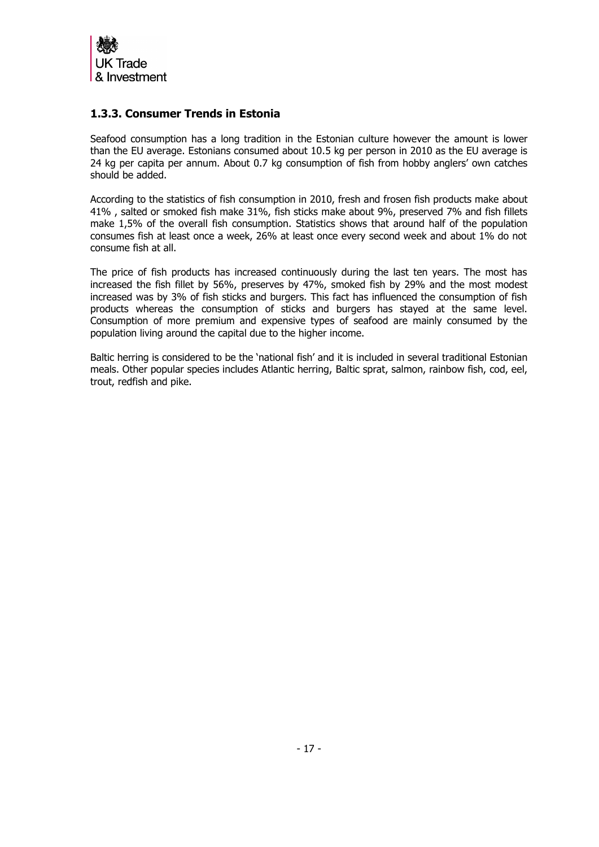

## <span id="page-16-0"></span>**1.3.3. Consumer Trends in Estonia**

Seafood consumption has a long tradition in the Estonian culture however the amount is lower than the EU average. Estonians consumed about 10.5 kg per person in 2010 as the EU average is 24 kg per capita per annum. About 0.7 kg consumption of fish from hobby anglers' own catches should be added.

According to the statistics of fish consumption in 2010, fresh and frosen fish products make about 41% , salted or smoked fish make 31%, fish sticks make about 9%, preserved 7% and fish fillets make 1,5% of the overall fish consumption. Statistics shows that around half of the population consumes fish at least once a week, 26% at least once every second week and about 1% do not consume fish at all.

The price of fish products has increased continuously during the last ten years. The most has increased the fish fillet by 56%, preserves by 47%, smoked fish by 29% and the most modest increased was by 3% of fish sticks and burgers. This fact has influenced the consumption of fish products whereas the consumption of sticks and burgers has stayed at the same level. Consumption of more premium and expensive types of seafood are mainly consumed by the population living around the capital due to the higher income.

Baltic herring is considered to be the 'national fish' and it is included in several traditional Estonian meals. Other popular species includes Atlantic herring, Baltic sprat, salmon, rainbow fish, cod, eel, trout, redfish and pike.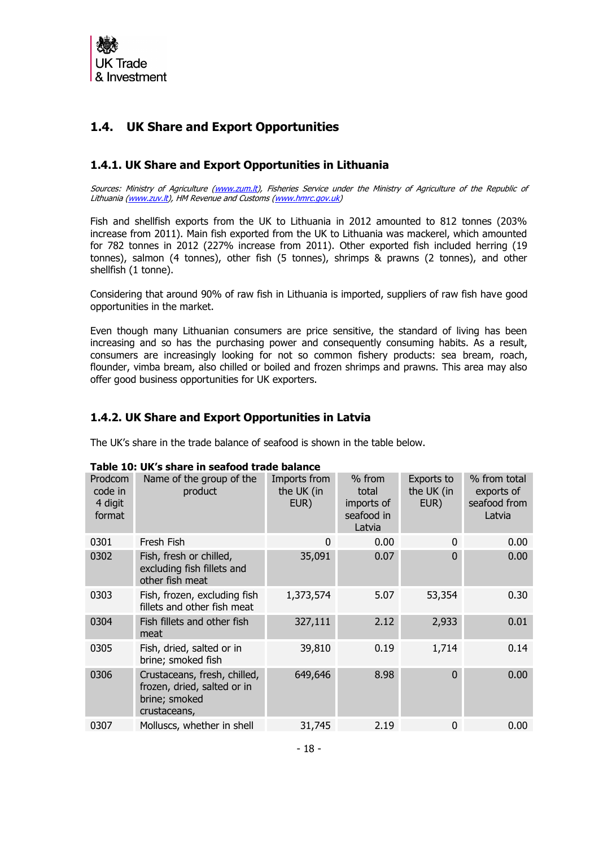

# <span id="page-17-0"></span>**1.4. UK Share and Export Opportunities**

# <span id="page-17-1"></span>**1.4.1. UK Share and Export Opportunities in Lithuania**

Sources: Ministry of Agriculture [\(www.zum.lt\)](http://www.zum.lt/), Fisheries Service under the Ministry of Agriculture of the Republic of Lithuania [\(www.zuv.lt\)](http://www.zuv.lt/), HM Revenue and Customs [\(www.hmrc.gov.uk\)](http://www.hmrc.gov.uk/)

Fish and shellfish exports from the UK to Lithuania in 2012 amounted to 812 tonnes (203% increase from 2011). Main fish exported from the UK to Lithuania was mackerel, which amounted for 782 tonnes in 2012 (227% increase from 2011). Other exported fish included herring (19 tonnes), salmon (4 tonnes), other fish (5 tonnes), shrimps & prawns (2 tonnes), and other shellfish (1 tonne).

Considering that around 90% of raw fish in Lithuania is imported, suppliers of raw fish have good opportunities in the market.

Even though many Lithuanian consumers are price sensitive, the standard of living has been increasing and so has the purchasing power and consequently consuming habits. As a result, consumers are increasingly looking for not so common fishery products: sea bream, roach, flounder, vimba bream, also chilled or boiled and frozen shrimps and prawns. This area may also offer good business opportunities for UK exporters.

## <span id="page-17-2"></span>**1.4.2. UK Share and Export Opportunities in Latvia**

The UK's share in the trade balance of seafood is shown in the table below.

| Prodcom<br>code in<br>4 digit<br>format | Name of the group of the<br>product                                                          | Imports from<br>the UK (in<br>EUR) | $%$ from<br>total<br>imports of<br>seafood in<br>Latvia | Exports to<br>the UK (in<br>EUR) | % from total<br>exports of<br>seafood from<br>Latvia |
|-----------------------------------------|----------------------------------------------------------------------------------------------|------------------------------------|---------------------------------------------------------|----------------------------------|------------------------------------------------------|
| 0301                                    | Fresh Fish                                                                                   | 0                                  | 0.00                                                    | $\mathbf{0}$                     | 0.00                                                 |
| 0302                                    | Fish, fresh or chilled,<br>excluding fish fillets and<br>other fish meat                     | 35,091                             | 0.07                                                    | $\Omega$                         | 0.00                                                 |
| 0303                                    | Fish, frozen, excluding fish<br>fillets and other fish meat                                  | 1,373,574                          | 5.07                                                    | 53,354                           | 0.30                                                 |
| 0304                                    | Fish fillets and other fish<br>meat                                                          | 327,111                            | 2.12                                                    | 2,933                            | 0.01                                                 |
| 0305                                    | Fish, dried, salted or in<br>brine; smoked fish                                              | 39,810                             | 0.19                                                    | 1,714                            | 0.14                                                 |
| 0306                                    | Crustaceans, fresh, chilled,<br>frozen, dried, salted or in<br>brine; smoked<br>crustaceans, | 649,646                            | 8.98                                                    | $\Omega$                         | 0.00                                                 |
| 0307                                    | Molluscs, whether in shell                                                                   | 31,745                             | 2.19                                                    | $\mathbf{0}$                     | 0.00                                                 |

### **Table 10: UK's share in seafood trade balance**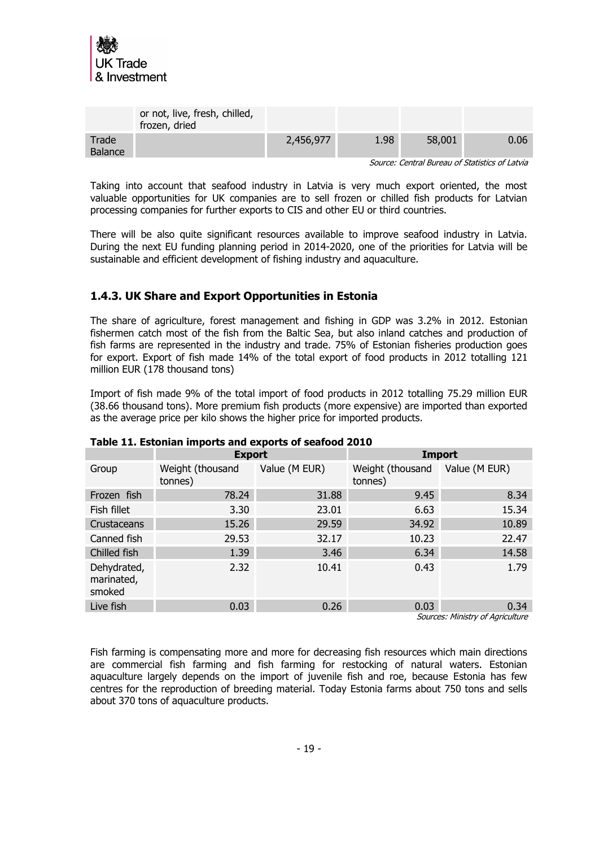

|                  | or not, live, fresh, chilled,<br>frozen, dried |           |      |        |                                                |
|------------------|------------------------------------------------|-----------|------|--------|------------------------------------------------|
| Trade<br>Balance |                                                | 2,456,977 | 1.98 | 58,001 | 0.06                                           |
|                  |                                                |           |      |        | Source: Central Bureau of Statistics of Latvia |

Taking into account that seafood industry in Latvia is very much export oriented, the most valuable opportunities for UK companies are to sell frozen or chilled fish products for Latvian processing companies for further exports to CIS and other EU or third countries.

There will be also quite significant resources available to improve seafood industry in Latvia. During the next EU funding planning period in 2014-2020, one of the priorities for Latvia will be sustainable and efficient development of fishing industry and aquaculture.

## <span id="page-18-0"></span>**1.4.3. UK Share and Export Opportunities in Estonia**

The share of agriculture, forest management and fishing in GDP was 3.2% in 2012. Estonian fishermen catch most of the fish from the Baltic Sea, but also inland catches and production of fish farms are represented in the industry and trade. 75% of Estonian fisheries production goes for export. Export of fish made 14% of the total export of food products in 2012 totalling 121 million EUR (178 thousand tons)

Import of fish made 9% of the total import of food products in 2012 totalling 75.29 million EUR (38.66 thousand tons). More premium fish products (more expensive) are imported than exported as the average price per kilo shows the higher price for imported products.

| Table 11. EStonian imports and exports or searood 2010 |                             |               |                             |                                 |
|--------------------------------------------------------|-----------------------------|---------------|-----------------------------|---------------------------------|
|                                                        | <b>Export</b>               |               |                             | <b>Import</b>                   |
| Group                                                  | Weight (thousand<br>tonnes) | Value (M EUR) | Weight (thousand<br>tonnes) | Value (M EUR)                   |
| Frozen fish                                            | 78.24                       | 31.88         | 9.45                        | 8.34                            |
| Fish fillet                                            | 3.30                        | 23.01         | 6.63                        | 15.34                           |
| Crustaceans                                            | 15.26                       | 29.59         | 34.92                       | 10.89                           |
| Canned fish                                            | 29.53                       | 32.17         | 10.23                       | 22.47                           |
| Chilled fish                                           | 1.39                        | 3.46          | 6.34                        | 14.58                           |
| Dehydrated,<br>marinated,<br>smoked                    | 2.32                        | 10.41         | 0.43                        | 1.79                            |
| Live fish                                              | 0.03                        | 0.26          | 0.03                        | 0.34                            |
|                                                        |                             |               |                             | Courses Ministry of Agriculture |

### **Table 11. Estonian imports and exports of seafood 2010**

Sources: Ministry of Agriculture

Fish farming is compensating more and more for decreasing fish resources which main directions are commercial fish farming and fish farming for restocking of natural waters. Estonian aquaculture largely depends on the import of juvenile fish and roe, because Estonia has few centres for the reproduction of breeding material. Today Estonia farms about 750 tons and sells about 370 tons of aquaculture products.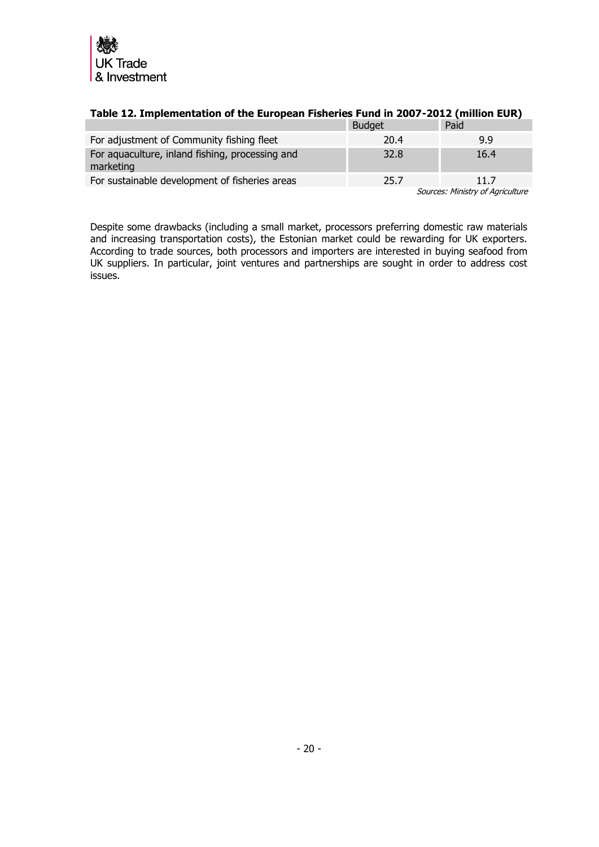

|                                                              | <b>Budget</b> | Paid                             |
|--------------------------------------------------------------|---------------|----------------------------------|
| For adjustment of Community fishing fleet                    | 20.4          | 9.9                              |
| For aquaculture, inland fishing, processing and<br>marketing | 32.8          | 16.4                             |
| For sustainable development of fisheries areas               | 25.7          | 11 7                             |
|                                                              |               | Sources: Ministry of Agriculture |

### **Table 12. Implementation of the European Fisheries Fund in 2007-2012 (million EUR)**

Despite some drawbacks (including a small market, processors preferring domestic raw materials and increasing transportation costs), the Estonian market could be rewarding for UK exporters. According to trade sources, both processors and importers are interested in buying seafood from UK suppliers. In particular, joint ventures and partnerships are sought in order to address cost issues.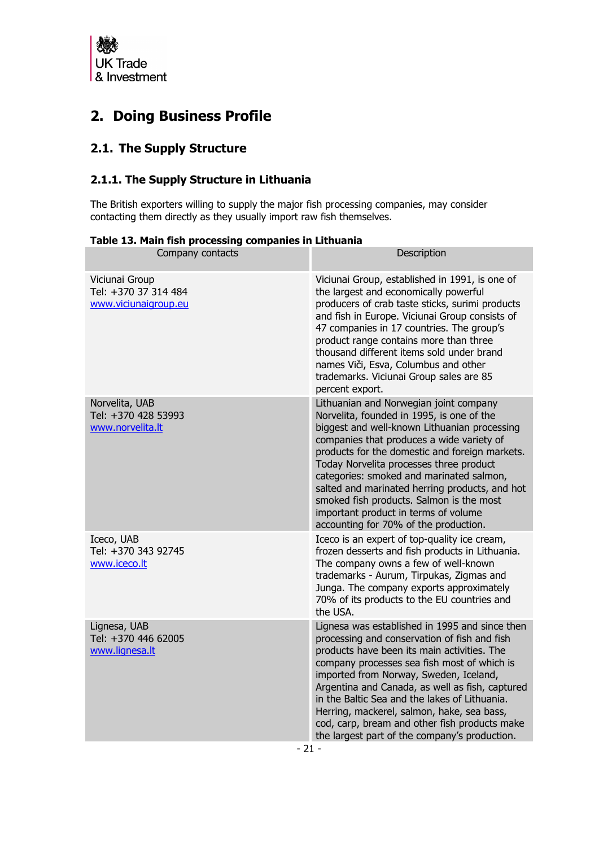

# <span id="page-20-0"></span>**2. Doing Business Profile**

# <span id="page-20-1"></span>**2.1. The Supply Structure**

# <span id="page-20-2"></span>**2.1.1. The Supply Structure in Lithuania**

The British exporters willing to supply the major fish processing companies, may consider contacting them directly as they usually import raw fish themselves.

|  |  | Table 13. Main fish processing companies in Lithuania |
|--|--|-------------------------------------------------------|
|  |  |                                                       |

| Company contacts                                               | Description                                                                                                                                                                                                                                                                                                                                                                                                                                                                                              |
|----------------------------------------------------------------|----------------------------------------------------------------------------------------------------------------------------------------------------------------------------------------------------------------------------------------------------------------------------------------------------------------------------------------------------------------------------------------------------------------------------------------------------------------------------------------------------------|
| Viciunai Group<br>Tel: +370 37 314 484<br>www.viciunaigroup.eu | Viciunai Group, established in 1991, is one of<br>the largest and economically powerful<br>producers of crab taste sticks, surimi products<br>and fish in Europe. Viciunai Group consists of<br>47 companies in 17 countries. The group's<br>product range contains more than three<br>thousand different items sold under brand<br>names Viči, Esva, Columbus and other<br>trademarks. Viciunai Group sales are 85<br>percent export.                                                                   |
| Norvelita, UAB<br>Tel: +370 428 53993<br>www.norvelita.lt      | Lithuanian and Norwegian joint company<br>Norvelita, founded in 1995, is one of the<br>biggest and well-known Lithuanian processing<br>companies that produces a wide variety of<br>products for the domestic and foreign markets.<br>Today Norvelita processes three product<br>categories: smoked and marinated salmon,<br>salted and marinated herring products, and hot<br>smoked fish products. Salmon is the most<br>important product in terms of volume<br>accounting for 70% of the production. |
| Iceco, UAB<br>Tel: +370 343 92745<br>www.iceco.lt              | Iceco is an expert of top-quality ice cream,<br>frozen desserts and fish products in Lithuania.<br>The company owns a few of well-known<br>trademarks - Aurum, Tirpukas, Zigmas and<br>Junga. The company exports approximately<br>70% of its products to the EU countries and<br>the USA.                                                                                                                                                                                                               |
| Lignesa, UAB<br>Tel: +370 446 62005<br>www.lignesa.lt          | Lignesa was established in 1995 and since then<br>processing and conservation of fish and fish<br>products have been its main activities. The<br>company processes sea fish most of which is<br>imported from Norway, Sweden, Iceland,<br>Argentina and Canada, as well as fish, captured<br>in the Baltic Sea and the lakes of Lithuania.<br>Herring, mackerel, salmon, hake, sea bass,<br>cod, carp, bream and other fish products make<br>the largest part of the company's production.<br>- 71 -     |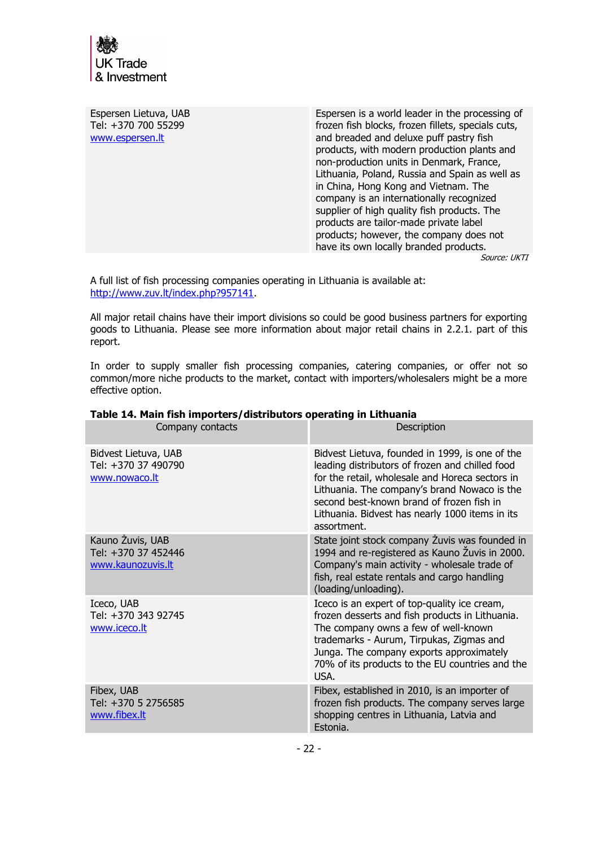

Espersen Lietuva, UAB Tel: +370 700 55299 [www.espersen.lt](http://www.espersen.lt/) Espersen is a world leader in the processing of frozen fish blocks, frozen fillets, specials cuts, and breaded and deluxe puff pastry fish products, with modern production plants and non-production units in Denmark, France, Lithuania, Poland, Russia and Spain as well as in China, Hong Kong and Vietnam. The company is an internationally recognized supplier of high quality fish products. The products are tailor-made private label products; however, the company does not have its own locally branded products.

Source: UKTI

A full list of fish processing companies operating in Lithuania is available at: [http://www.zuv.lt/index.php?957141.](http://www.zuv.lt/index.php?957141)

All major retail chains have their import divisions so could be good business partners for exporting goods to Lithuania. Please see more information about major retail chains in 2.2.1. part of this report.

In order to supply smaller fish processing companies, catering companies, or offer not so common/more niche products to the market, contact with importers/wholesalers might be a more effective option.

| Company contacts                                             | Description                                                                                                                                                                                                                                                                                                          |
|--------------------------------------------------------------|----------------------------------------------------------------------------------------------------------------------------------------------------------------------------------------------------------------------------------------------------------------------------------------------------------------------|
| Bidvest Lietuva, UAB<br>Tel: +370 37 490790<br>www.nowaco.lt | Bidvest Lietuva, founded in 1999, is one of the<br>leading distributors of frozen and chilled food<br>for the retail, wholesale and Horeca sectors in<br>Lithuania. The company's brand Nowaco is the<br>second best-known brand of frozen fish in<br>Lithuania. Bidvest has nearly 1000 items in its<br>assortment. |
| Kauno Žuvis, UAB<br>Tel: +370 37 452446<br>www.kaunozuvis.lt | State joint stock company Zuvis was founded in<br>1994 and re-registered as Kauno Zuvis in 2000.<br>Company's main activity - wholesale trade of<br>fish, real estate rentals and cargo handling<br>(loading/unloading).                                                                                             |
| Iceco, UAB<br>Tel: +370 343 92745<br>www.iceco.lt            | Iceco is an expert of top-quality ice cream,<br>frozen desserts and fish products in Lithuania.<br>The company owns a few of well-known<br>trademarks - Aurum, Tirpukas, Zigmas and<br>Junga. The company exports approximately<br>70% of its products to the EU countries and the<br>USA.                           |
| Fibex, UAB<br>Tel: +370 5 2756585<br>www.fibex.lt            | Fibex, established in 2010, is an importer of<br>frozen fish products. The company serves large<br>shopping centres in Lithuania, Latvia and<br>Estonia.                                                                                                                                                             |

#### **Table 14. Main fish importers/distributors operating in Lithuania**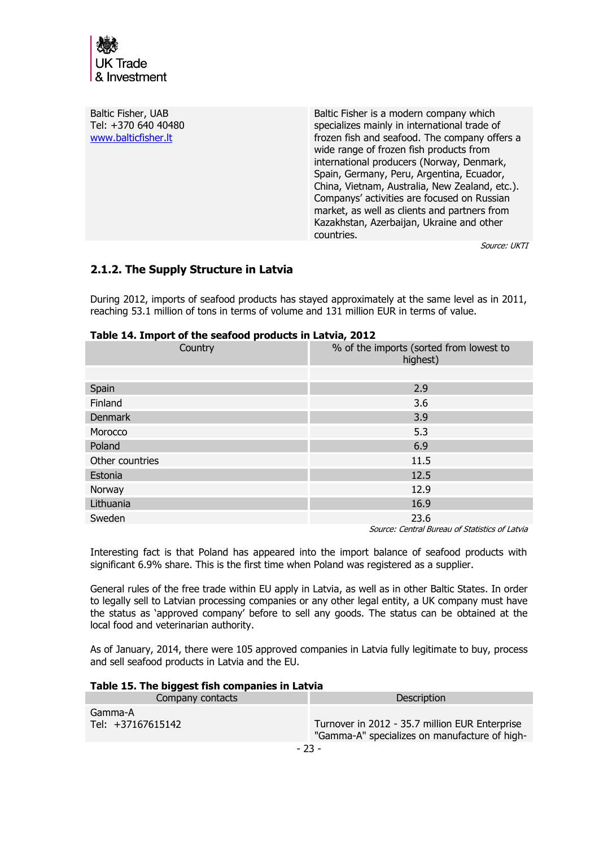

| Baltic Fisher, UAB<br>Tel: +370 640 40480<br>www.balticfisher.lt | Baltic Fisher is a modern company which<br>specializes mainly in international trade of<br>frozen fish and seafood. The company offers a<br>wide range of frozen fish products from<br>international producers (Norway, Denmark,<br>Spain, Germany, Peru, Argentina, Ecuador,<br>China, Vietnam, Australia, New Zealand, etc.).<br>Companys' activities are focused on Russian<br>market, as well as clients and partners from<br>Kazakhstan, Azerbaijan, Ukraine and other<br>countries. |
|------------------------------------------------------------------|-------------------------------------------------------------------------------------------------------------------------------------------------------------------------------------------------------------------------------------------------------------------------------------------------------------------------------------------------------------------------------------------------------------------------------------------------------------------------------------------|
|------------------------------------------------------------------|-------------------------------------------------------------------------------------------------------------------------------------------------------------------------------------------------------------------------------------------------------------------------------------------------------------------------------------------------------------------------------------------------------------------------------------------------------------------------------------------|

Source: UKTI

### <span id="page-22-0"></span>**2.1.2. The Supply Structure in Latvia**

During 2012, imports of seafood products has stayed approximately at the same level as in 2011, reaching 53.1 million of tons in terms of volume and 131 million EUR in terms of value.

| .<br>Country    | % of the imports (sorted from lowest to<br>highest) |  |  |  |  |
|-----------------|-----------------------------------------------------|--|--|--|--|
|                 |                                                     |  |  |  |  |
| Spain           | 2.9                                                 |  |  |  |  |
| Finland         | 3.6                                                 |  |  |  |  |
| <b>Denmark</b>  | 3.9                                                 |  |  |  |  |
| Morocco         | 5.3                                                 |  |  |  |  |
| Poland          | 6.9                                                 |  |  |  |  |
| Other countries | 11.5                                                |  |  |  |  |
| Estonia         | 12.5                                                |  |  |  |  |
| Norway          | 12.9                                                |  |  |  |  |
| Lithuania       | 16.9                                                |  |  |  |  |
| Sweden          | 23.6<br>.                                           |  |  |  |  |

Source: Central Bureau of Statistics of Latvia

Interesting fact is that Poland has appeared into the import balance of seafood products with significant 6.9% share. This is the first time when Poland was registered as a supplier.

General rules of the free trade within EU apply in Latvia, as well as in other Baltic States. In order to legally sell to Latvian processing companies or any other legal entity, a UK company must have the status as 'approved company' before to sell any goods. The status can be obtained at the local food and veterinarian authority.

As of January, 2014, there were 105 approved companies in Latvia fully legitimate to buy, process and sell seafood products in Latvia and the EU.

#### **Table 15. The biggest fish companies in Latvia**

| Company contacts             | Description                                                                                     |  |  |
|------------------------------|-------------------------------------------------------------------------------------------------|--|--|
| Gamma-A<br>Tel: +37167615142 | Turnover in 2012 - 35.7 million EUR Enterprise<br>"Gamma-A" specializes on manufacture of high- |  |  |
|                              |                                                                                                 |  |  |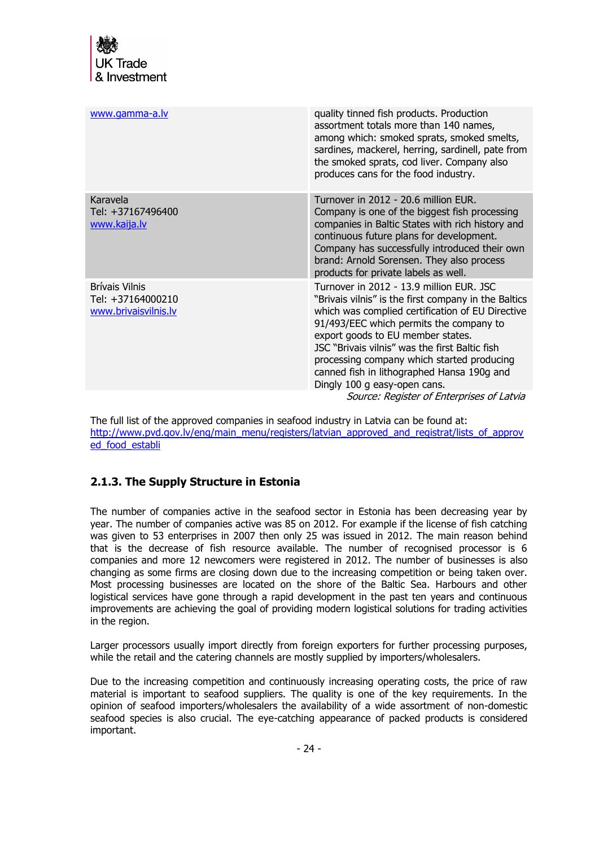| www.gamma-a.lv                                              | quality tinned fish products. Production<br>assortment totals more than 140 names,<br>among which: smoked sprats, smoked smelts,<br>sardines, mackerel, herring, sardinell, pate from<br>the smoked sprats, cod liver. Company also<br>produces cans for the food industry.                                                                                                                                        |
|-------------------------------------------------------------|--------------------------------------------------------------------------------------------------------------------------------------------------------------------------------------------------------------------------------------------------------------------------------------------------------------------------------------------------------------------------------------------------------------------|
| Karavela<br>Tel: +37167496400<br>www.kaija.lv               | Turnover in 2012 - 20.6 million EUR.<br>Company is one of the biggest fish processing<br>companies in Baltic States with rich history and<br>continuous future plans for development.<br>Company has successfully introduced their own<br>brand: Arnold Sorensen. They also process<br>products for private labels as well.                                                                                        |
| Brívais Vilnis<br>Tel: +37164000210<br>www.brivaisvilnis.lv | Turnover in 2012 - 13.9 million EUR. JSC<br>"Brivais vilnis" is the first company in the Baltics<br>which was complied certification of EU Directive<br>91/493/EEC which permits the company to<br>export goods to EU member states.<br>JSC "Brivais vilnis" was the first Baltic fish<br>processing company which started producing<br>canned fish in lithographed Hansa 190g and<br>Dingly 100 g easy-open cans. |
|                                                             | Source: Register of Enterprises of Latvia                                                                                                                                                                                                                                                                                                                                                                          |

The full list of the approved companies in seafood industry in Latvia can be found at: [http://www.pvd.gov.lv/eng/main\\_menu/registers/latvian\\_approved\\_and\\_registrat/lists\\_of\\_approv](http://www.pvd.gov.lv/eng/main_menu/registers/latvian_approved_and_registrat/lists_of_approved_food_establi) ed food establi

# <span id="page-23-0"></span>**2.1.3. The Supply Structure in Estonia**

The number of companies active in the seafood sector in Estonia has been decreasing year by year. The number of companies active was 85 on 2012. For example if the license of fish catching was given to 53 enterprises in 2007 then only 25 was issued in 2012. The main reason behind that is the decrease of fish resource available. The number of recognised processor is 6 companies and more 12 newcomers were registered in 2012. The number of businesses is also changing as some firms are closing down due to the increasing competition or being taken over. Most processing businesses are located on the shore of the Baltic Sea. Harbours and other logistical services have gone through a rapid development in the past ten years and continuous improvements are achieving the goal of providing modern logistical solutions for trading activities in the region.

Larger processors usually import directly from foreign exporters for further processing purposes, while the retail and the catering channels are mostly supplied by importers/wholesalers.

Due to the increasing competition and continuously increasing operating costs, the price of raw material is important to seafood suppliers. The quality is one of the key requirements. In the opinion of seafood importers/wholesalers the availability of a wide assortment of non-domestic seafood species is also crucial. The eye-catching appearance of packed products is considered important.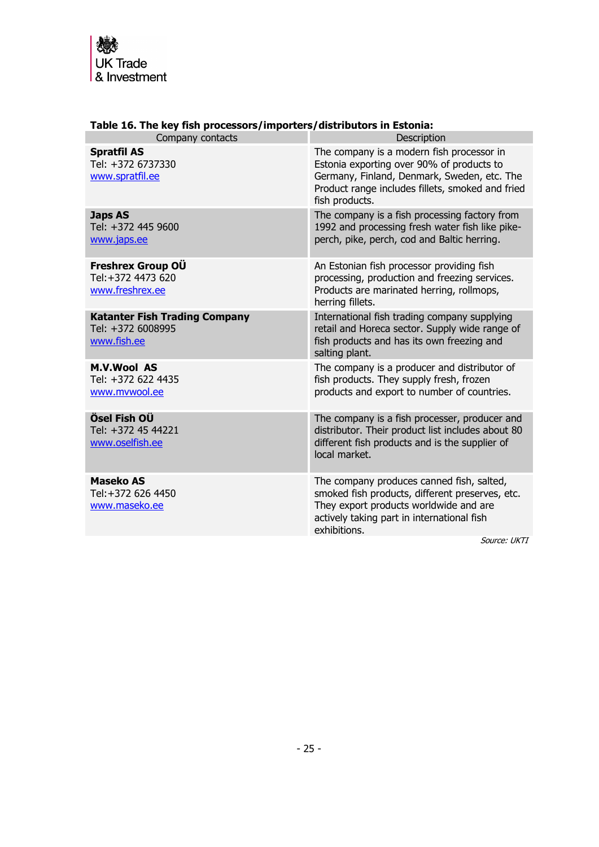

| $100 \pm 01 \pm 00$                                                      |                                                                                                                                                                                                             |  |  |  |
|--------------------------------------------------------------------------|-------------------------------------------------------------------------------------------------------------------------------------------------------------------------------------------------------------|--|--|--|
| Company contacts                                                         | Description                                                                                                                                                                                                 |  |  |  |
| <b>Spratfil AS</b><br>Tel: +372 6737330<br>www.spratfil.ee               | The company is a modern fish processor in<br>Estonia exporting over 90% of products to<br>Germany, Finland, Denmark, Sweden, etc. The<br>Product range includes fillets, smoked and fried<br>fish products. |  |  |  |
| <b>Japs AS</b><br>Tel: +372 445 9600<br>www.japs.ee                      | The company is a fish processing factory from<br>1992 and processing fresh water fish like pike-<br>perch, pike, perch, cod and Baltic herring.                                                             |  |  |  |
| Freshrex Group OÜ<br>Tel:+372 4473 620<br>www.freshrex.ee                | An Estonian fish processor providing fish<br>processing, production and freezing services.<br>Products are marinated herring, rollmops,<br>herring fillets.                                                 |  |  |  |
| <b>Katanter Fish Trading Company</b><br>Tel: +372 6008995<br>www.fish.ee | International fish trading company supplying<br>retail and Horeca sector. Supply wide range of<br>fish products and has its own freezing and<br>salting plant.                                              |  |  |  |
| <b>M.V.Wool AS</b><br>Tel: +372 622 4435<br>www.mvwool.ee                | The company is a producer and distributor of<br>fish products. They supply fresh, frozen<br>products and export to number of countries.                                                                     |  |  |  |
| Ösel Fish OÜ<br>Tel: +372 45 44221<br>www.oselfish.ee                    | The company is a fish processer, producer and<br>distributor. Their product list includes about 80<br>different fish products and is the supplier of<br>local market.                                       |  |  |  |
| <b>Maseko AS</b><br>Tel:+372 626 4450<br>www.maseko.ee                   | The company produces canned fish, salted,<br>smoked fish products, different preserves, etc.<br>They export products worldwide and are<br>actively taking part in international fish<br>exhibitions.        |  |  |  |
|                                                                          | $C_{\text{Al}}$                                                                                                                                                                                             |  |  |  |

### **Table 16. The key fish processors/importers/distributors in Estonia:**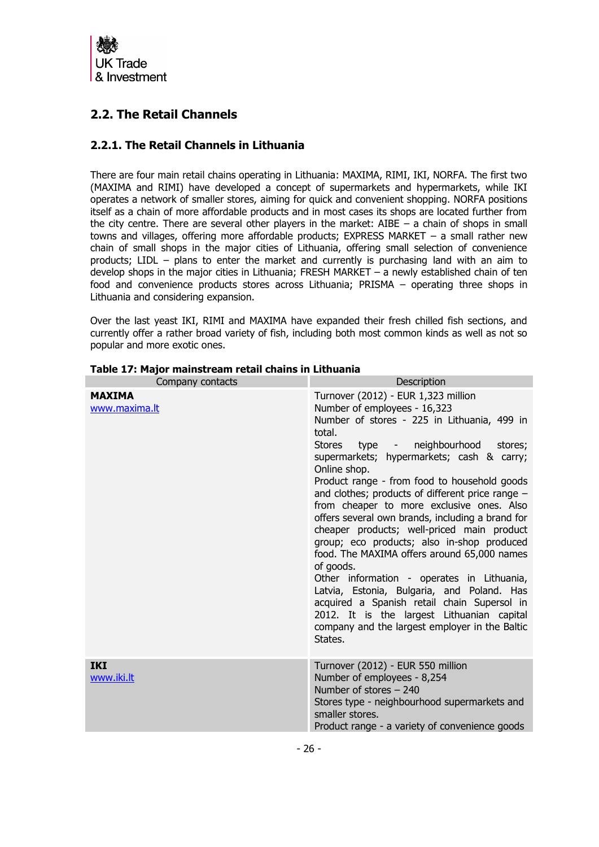

# <span id="page-25-0"></span>**2.2. The Retail Channels**

## <span id="page-25-1"></span>**2.2.1. The Retail Channels in Lithuania**

There are four main retail chains operating in Lithuania: MAXIMA, RIMI, IKI, NORFA. The first two (MAXIMA and RIMI) have developed a concept of supermarkets and hypermarkets, while IKI operates a network of smaller stores, aiming for quick and convenient shopping. NORFA positions itself as a chain of more affordable products and in most cases its shops are located further from the city centre. There are several other players in the market: AIBE  $-$  a chain of shops in small towns and villages, offering more affordable products; EXPRESS MARKET – a small rather new chain of small shops in the major cities of Lithuania, offering small selection of convenience products; LIDL – plans to enter the market and currently is purchasing land with an aim to develop shops in the major cities in Lithuania; FRESH MARKET – a newly established chain of ten food and convenience products stores across Lithuania; PRISMA – operating three shops in Lithuania and considering expansion.

Over the last yeast IKI, RIMI and MAXIMA have expanded their fresh chilled fish sections, and currently offer a rather broad variety of fish, including both most common kinds as well as not so popular and more exotic ones.

| Company contacts               | Description                                                                                                                                                                                                                                                                                                                                                                                                                                                                                                                                                                                                                                                                                                                                                                                                                                                 |  |  |  |
|--------------------------------|-------------------------------------------------------------------------------------------------------------------------------------------------------------------------------------------------------------------------------------------------------------------------------------------------------------------------------------------------------------------------------------------------------------------------------------------------------------------------------------------------------------------------------------------------------------------------------------------------------------------------------------------------------------------------------------------------------------------------------------------------------------------------------------------------------------------------------------------------------------|--|--|--|
| <b>MAXIMA</b><br>www.maxima.lt | Turnover (2012) - EUR 1,323 million<br>Number of employees - 16,323<br>Number of stores - 225 in Lithuania, 499 in<br>total.<br>neighbourhood<br>Stores type -<br>stores;<br>supermarkets; hypermarkets; cash & carry;<br>Online shop.<br>Product range - from food to household goods<br>and clothes; products of different price range $-$<br>from cheaper to more exclusive ones. Also<br>offers several own brands, including a brand for<br>cheaper products; well-priced main product<br>group; eco products; also in-shop produced<br>food. The MAXIMA offers around 65,000 names<br>of goods.<br>Other information - operates in Lithuania,<br>Latvia, Estonia, Bulgaria, and Poland. Has<br>acquired a Spanish retail chain Supersol in<br>2012. It is the largest Lithuanian capital<br>company and the largest employer in the Baltic<br>States. |  |  |  |
| <b>IKI</b><br>www.iki.lt       | Turnover (2012) - EUR 550 million<br>Number of employees - 8,254<br>Number of stores - 240<br>Stores type - neighbourhood supermarkets and<br>smaller stores.<br>Product range - a variety of convenience goods                                                                                                                                                                                                                                                                                                                                                                                                                                                                                                                                                                                                                                             |  |  |  |

#### **Table 17: Major mainstream retail chains in Lithuania**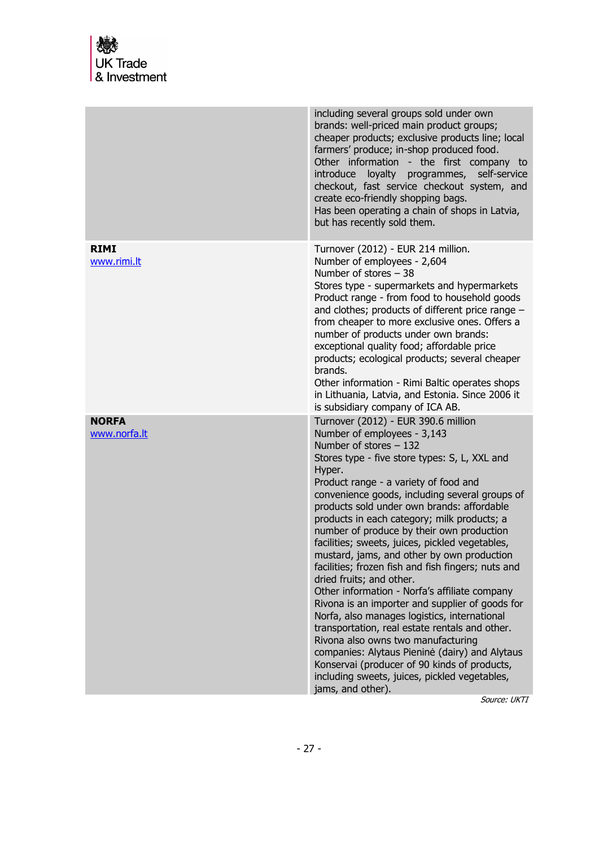|                              | including several groups sold under own<br>brands: well-priced main product groups;<br>cheaper products; exclusive products line; local<br>farmers' produce; in-shop produced food.<br>Other information - the first company to<br>introduce<br>loyalty<br>programmes,<br>self-service<br>checkout, fast service checkout system, and<br>create eco-friendly shopping bags.<br>Has been operating a chain of shops in Latvia,<br>but has recently sold them.                                                                                                                                                                                                                                                                                                                                                                                                                                                                                                                                         |
|------------------------------|------------------------------------------------------------------------------------------------------------------------------------------------------------------------------------------------------------------------------------------------------------------------------------------------------------------------------------------------------------------------------------------------------------------------------------------------------------------------------------------------------------------------------------------------------------------------------------------------------------------------------------------------------------------------------------------------------------------------------------------------------------------------------------------------------------------------------------------------------------------------------------------------------------------------------------------------------------------------------------------------------|
| <b>RIMI</b><br>www.rimi.lt   | Turnover (2012) - EUR 214 million.<br>Number of employees - 2,604<br>Number of stores $-38$<br>Stores type - supermarkets and hypermarkets<br>Product range - from food to household goods<br>and clothes; products of different price range -<br>from cheaper to more exclusive ones. Offers a<br>number of products under own brands:<br>exceptional quality food; affordable price<br>products; ecological products; several cheaper<br>brands.<br>Other information - Rimi Baltic operates shops<br>in Lithuania, Latvia, and Estonia. Since 2006 it<br>is subsidiary company of ICA AB.                                                                                                                                                                                                                                                                                                                                                                                                         |
| <b>NORFA</b><br>www.norfa.lt | Turnover (2012) - EUR 390.6 million<br>Number of employees - 3,143<br>Number of stores $-132$<br>Stores type - five store types: S, L, XXL and<br>Hyper.<br>Product range - a variety of food and<br>convenience goods, including several groups of<br>products sold under own brands: affordable<br>products in each category; milk products; a<br>number of produce by their own production<br>facilities; sweets, juices, pickled vegetables,<br>mustard, jams, and other by own production<br>facilities; frozen fish and fish fingers; nuts and<br>dried fruits; and other.<br>Other information - Norfa's affiliate company<br>Rivona is an importer and supplier of goods for<br>Norfa, also manages logistics, international<br>transportation, real estate rentals and other.<br>Rivona also owns two manufacturing<br>companies: Alytaus Pieninė (dairy) and Alytaus<br>Konservai (producer of 90 kinds of products,<br>including sweets, juices, pickled vegetables,<br>jams, and other). |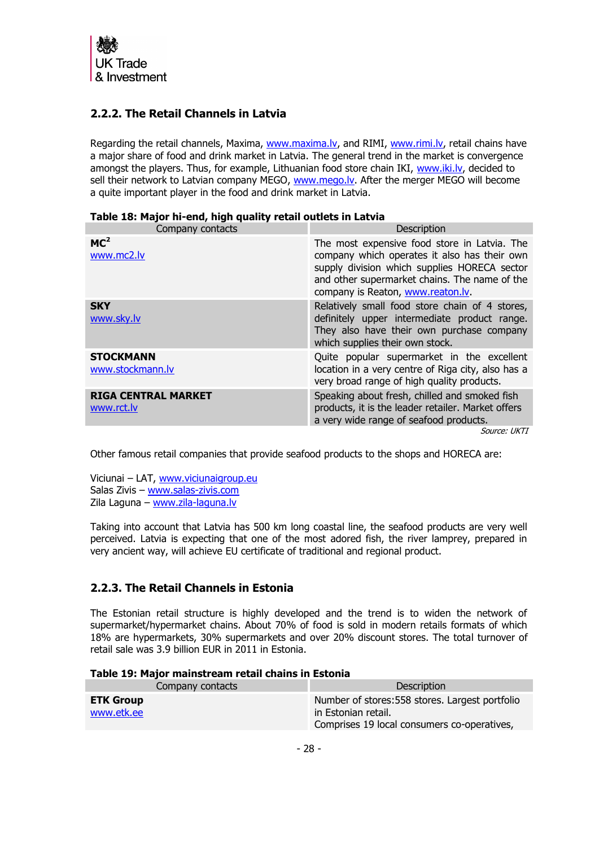

# <span id="page-27-0"></span>**2.2.2. The Retail Channels in Latvia**

Regarding the retail channels, Maxima, [www.maxima.lv,](http://www.maxima.lv/) and RIMI, [www.rimi.lv,](http://www.rimi.lv/) retail chains have a major share of food and drink market in Latvia. The general trend in the market is convergence amongst the players. Thus, for example, Lithuanian food store chain IKI, www.iki.ly, decided to sell their network to Latvian company MEGO, www.mego.ly. After the merger MEGO will become a quite important player in the food and drink market in Latvia.

| Company contacts                         | Description                                                                                                                                                                                                                        |  |  |  |
|------------------------------------------|------------------------------------------------------------------------------------------------------------------------------------------------------------------------------------------------------------------------------------|--|--|--|
| MC <sup>2</sup><br>www.mc2.lv            | The most expensive food store in Latvia. The<br>company which operates it also has their own<br>supply division which supplies HORECA sector<br>and other supermarket chains. The name of the<br>company is Reaton, www.reaton.ly. |  |  |  |
| <b>SKY</b><br>www.sky.lv                 | Relatively small food store chain of 4 stores,<br>definitely upper intermediate product range.<br>They also have their own purchase company<br>which supplies their own stock.                                                     |  |  |  |
| <b>STOCKMANN</b><br>www.stockmann.lv     | Quite popular supermarket in the excellent<br>location in a very centre of Riga city, also has a<br>very broad range of high quality products.                                                                                     |  |  |  |
| <b>RIGA CENTRAL MARKET</b><br>www.rct.lv | Speaking about fresh, chilled and smoked fish<br>products, it is the leader retailer. Market offers<br>a very wide range of seafood products.                                                                                      |  |  |  |

### **Table 18: Major hi-end, high quality retail outlets in Latvia**

Source: UKTI

Other famous retail companies that provide seafood products to the shops and HORECA are:

Viciunai – LAT, [www.viciunaigroup.eu](http://www.viciunaigroup.eu/) Salas Zivis – [www.salas-zivis.com](http://www.salas-zivis.com/) Zila Laguna – [www.zila-laguna.lv](http://www.zila-laguna.lv/)

Taking into account that Latvia has 500 km long coastal line, the seafood products are very well perceived. Latvia is expecting that one of the most adored fish, the river lamprey, prepared in very ancient way, will achieve EU certificate of traditional and regional product.

# <span id="page-27-1"></span>**2.2.3. The Retail Channels in Estonia**

The Estonian retail structure is highly developed and the trend is to widen the network of supermarket/hypermarket chains. About 70% of food is sold in modern retails formats of which 18% are hypermarkets, 30% supermarkets and over 20% discount stores. The total turnover of retail sale was 3.9 billion EUR in 2011 in Estonia.

| Table 19: Major mainstream retail chains in Estonia |  |
|-----------------------------------------------------|--|
|-----------------------------------------------------|--|

| Company contacts               | Description                                                                                                           |
|--------------------------------|-----------------------------------------------------------------------------------------------------------------------|
| <b>ETK Group</b><br>www.etk.ee | Number of stores: 558 stores. Largest portfolio<br>in Estonian retail.<br>Comprises 19 local consumers co-operatives, |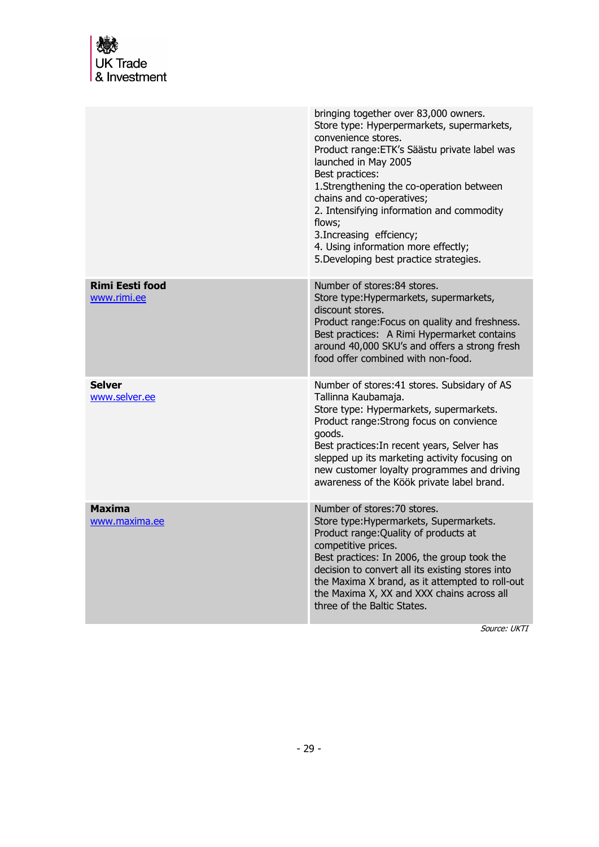<span id="page-28-0"></span>

|                                       | bringing together over 83,000 owners.<br>Store type: Hyperpermarkets, supermarkets,<br>convenience stores.<br>Product range: ETK's Säästu private label was<br>launched in May 2005<br>Best practices:<br>1.Strengthening the co-operation between<br>chains and co-operatives;<br>2. Intensifying information and commodity<br>flows;<br>3. Increasing effciency;<br>4. Using information more effectly;<br>5. Developing best practice strategies. |
|---------------------------------------|------------------------------------------------------------------------------------------------------------------------------------------------------------------------------------------------------------------------------------------------------------------------------------------------------------------------------------------------------------------------------------------------------------------------------------------------------|
| <b>Rimi Eesti food</b><br>www.rimi.ee | Number of stores: 84 stores.<br>Store type: Hypermarkets, supermarkets,<br>discount stores.<br>Product range: Focus on quality and freshness.<br>Best practices: A Rimi Hypermarket contains<br>around 40,000 SKU's and offers a strong fresh<br>food offer combined with non-food.                                                                                                                                                                  |
| <b>Selver</b><br>www.selver.ee        | Number of stores: 41 stores. Subsidary of AS<br>Tallinna Kaubamaja.<br>Store type: Hypermarkets, supermarkets.<br>Product range: Strong focus on convience<br>goods.<br>Best practices: In recent years, Selver has<br>slepped up its marketing activity focusing on<br>new customer loyalty programmes and driving<br>awareness of the Köök private label brand.                                                                                    |
| <b>Maxima</b><br>www.maxima.ee        | Number of stores: 70 stores.<br>Store type: Hypermarkets, Supermarkets.<br>Product range: Quality of products at<br>competitive prices.<br>Best practices: In 2006, the group took the<br>decision to convert all its existing stores into<br>the Maxima X brand, as it attempted to roll-out<br>the Maxima X, XX and XXX chains across all<br>three of the Baltic States.                                                                           |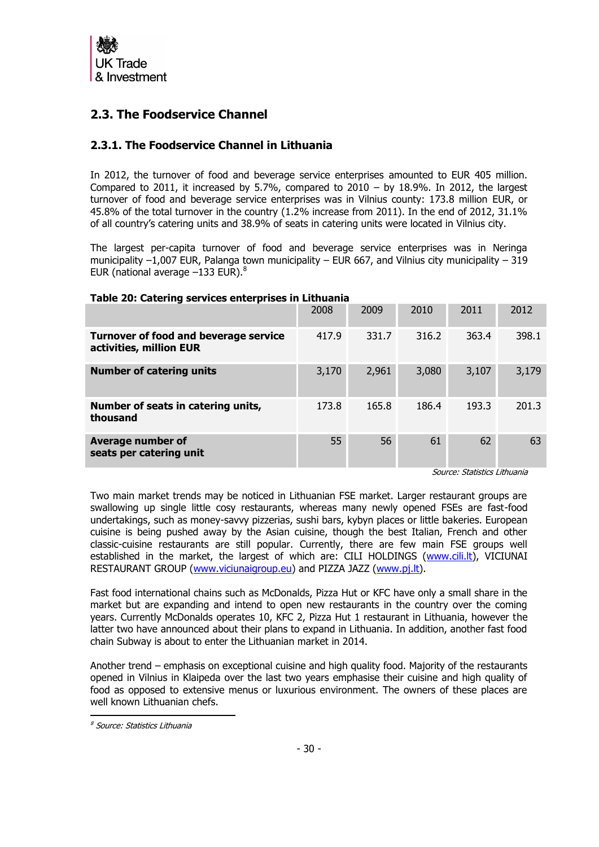

# **2.3. The Foodservice Channel**

## <span id="page-29-0"></span>**2.3.1. The Foodservice Channel in Lithuania**

In 2012, the turnover of food and beverage service enterprises amounted to EUR 405 million. Compared to 2011, it increased by 5.7%, compared to  $2010 -$  by 18.9%. In 2012, the largest turnover of food and beverage service enterprises was in Vilnius county: 173.8 million EUR, or 45.8% of the total turnover in the country (1.2% increase from 2011). In the end of 2012, 31.1% of all country's catering units and 38.9% of seats in catering units were located in Vilnius city.

The largest per-capita turnover of food and beverage service enterprises was in Neringa municipality  $-1,007$  EUR, Palanga town municipality – EUR 667, and Vilnius city municipality – 319 EUR (national average  $-133$  EUR). $8$ 

### **Table 20: Catering services enterprises in Lithuania**

|                                                                         | 2008  | 2009  | 2010  | 2011  | 2012  |
|-------------------------------------------------------------------------|-------|-------|-------|-------|-------|
| <b>Turnover of food and beverage service</b><br>activities, million EUR | 417.9 | 331.7 | 316.2 | 363.4 | 398.1 |
| <b>Number of catering units</b>                                         | 3,170 | 2,961 | 3,080 | 3,107 | 3,179 |
| Number of seats in catering units,<br>thousand                          | 173.8 | 165.8 | 186.4 | 193.3 | 201.3 |
| <b>Average number of</b><br>seats per catering unit                     | 55    | 56    | 61    | 62    | 63    |

Source: Statistics Lithuania

Two main market trends may be noticed in Lithuanian FSE market. Larger restaurant groups are swallowing up single little cosy restaurants, whereas many newly opened FSEs are fast-food undertakings, such as money-savvy pizzerias, sushi bars, kybyn places or little bakeries. European cuisine is being pushed away by the Asian cuisine, though the best Italian, French and other classic-cuisine restaurants are still popular. Currently, there are few main FSE groups well established in the market, the largest of which are: CILI HOLDINGS [\(www.cili.lt\)](http://www.cili.lt/), VICIUNAI RESTAURANT GROUP [\(www.viciunaigroup.eu\)](http://www.viciunaigroup.eu/) and PIZZA JAZZ [\(www.pj.lt\)](http://www.pj.lt/).

Fast food international chains such as McDonalds, Pizza Hut or KFC have only a small share in the market but are expanding and intend to open new restaurants in the country over the coming years. Currently McDonalds operates 10, KFC 2, Pizza Hut 1 restaurant in Lithuania, however the latter two have announced about their plans to expand in Lithuania. In addition, another fast food chain Subway is about to enter the Lithuanian market in 2014.

Another trend – emphasis on exceptional cuisine and high quality food. Majority of the restaurants opened in Vilnius in Klaipeda over the last two years emphasise their cuisine and high quality of food as opposed to extensive menus or luxurious environment. The owners of these places are well known Lithuanian chefs.

<sup>8</sup> Source: Statistics Lithuania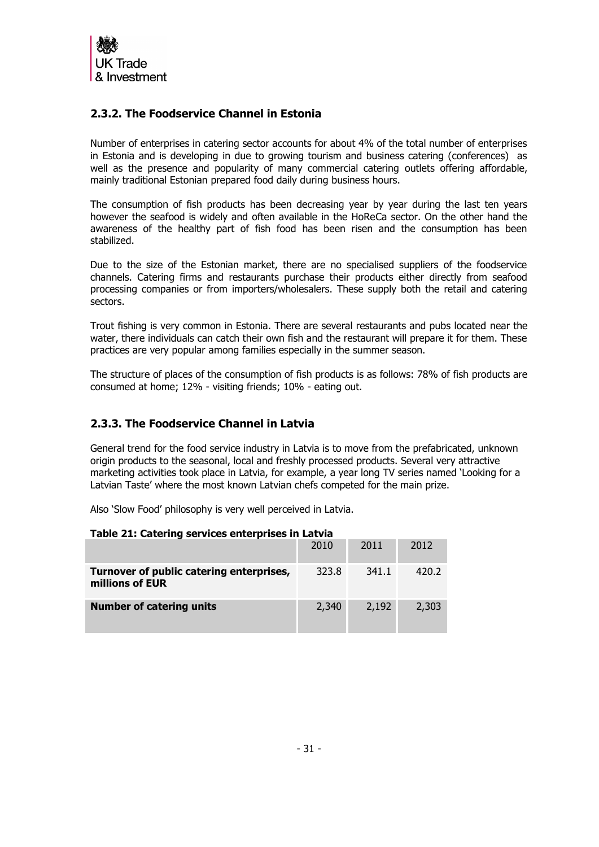

# <span id="page-30-0"></span>**2.3.2. The Foodservice Channel in Estonia**

Number of enterprises in catering sector accounts for about 4% of the total number of enterprises in Estonia and is developing in due to growing tourism and business catering (conferences) as well as the presence and popularity of many commercial catering outlets offering affordable, mainly traditional Estonian prepared food daily during business hours.

The consumption of fish products has been decreasing year by year during the last ten years however the seafood is widely and often available in the HoReCa sector. On the other hand the awareness of the healthy part of fish food has been risen and the consumption has been stabilized.

Due to the size of the Estonian market, there are no specialised suppliers of the foodservice channels. Catering firms and restaurants purchase their products either directly from seafood processing companies or from importers/wholesalers. These supply both the retail and catering sectors.

Trout fishing is very common in Estonia. There are several restaurants and pubs located near the water, there individuals can catch their own fish and the restaurant will prepare it for them. These practices are very popular among families especially in the summer season.

The structure of places of the consumption of fish products is as follows: 78% of fish products are consumed at home; 12% - visiting friends; 10% - eating out.

# **2.3.3. The Foodservice Channel in Latvia**

General trend for the food service industry in Latvia is to move from the prefabricated, unknown origin products to the seasonal, local and freshly processed products. Several very attractive marketing activities took place in Latvia, for example, a year long TV series named 'Looking for a Latvian Taste' where the most known Latvian chefs competed for the main prize.

Also 'Slow Food' philosophy is very well perceived in Latvia.

| Table 21: Catering services enterprises in Latvia           |       |       |       |  |
|-------------------------------------------------------------|-------|-------|-------|--|
|                                                             | 2010  | 2011  | 2012  |  |
| Turnover of public catering enterprises,<br>millions of EUR | 323.8 | 341.1 | 420.2 |  |
| <b>Number of catering units</b>                             | 2,340 | 2,192 | 2,303 |  |

### **Table 21: Catering services enterprises in Latvia**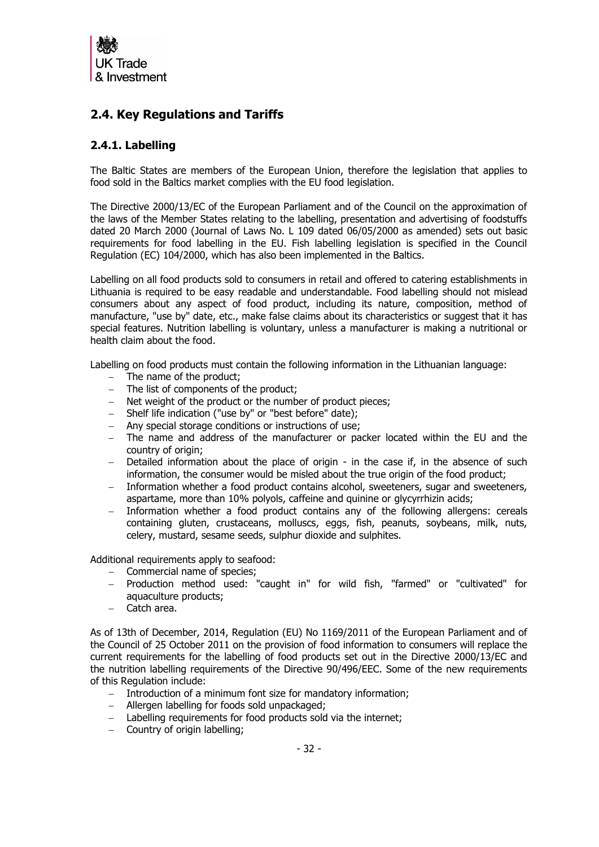

# <span id="page-31-0"></span>**2.4. Key Regulations and Tariffs**

## <span id="page-31-1"></span>**2.4.1. Labelling**

The Baltic States are members of the European Union, therefore the legislation that applies to food sold in the Baltics market complies with the EU food legislation.

The Directive 2000/13/EC of the European Parliament and of the Council on the approximation of the laws of the Member States relating to the labelling, presentation and advertising of foodstuffs dated 20 March 2000 (Journal of Laws No. L 109 dated 06/05/2000 as amended) sets out basic requirements for food labelling in the EU. Fish labelling legislation is specified in the Council Regulation (EC) 104/2000, which has also been implemented in the Baltics.

Labelling on all food products sold to consumers in retail and offered to catering establishments in Lithuania is required to be easy readable and understandable. Food labelling should not mislead consumers about any aspect of food product, including its nature, composition, method of manufacture, "use by" date, etc., make false claims about its characteristics or suggest that it has special features. Nutrition labelling is voluntary, unless a manufacturer is making a nutritional or health claim about the food.

Labelling on food products must contain the following information in the Lithuanian language:

- The name of the product;
- The list of components of the product;
- Net weight of the product or the number of product pieces;
- Shelf life indication ("use by" or "best before" date);
- Any special storage conditions or instructions of use;
- The name and address of the manufacturer or packer located within the EU and the country of origin;
- Detailed information about the place of origin in the case if, in the absence of such information, the consumer would be misled about the true origin of the food product;
- Information whether a food product contains alcohol, sweeteners, sugar and sweeteners, aspartame, more than 10% polyols, caffeine and quinine or glycyrrhizin acids;
- Information whether a food product contains any of the following allergens: cereals containing gluten, crustaceans, molluscs, eggs, fish, peanuts, soybeans, milk, nuts, celery, mustard, sesame seeds, sulphur dioxide and sulphites.

Additional requirements apply to seafood:

- Commercial name of species;
- Production method used: "caught in" for wild fish, "farmed" or "cultivated" for aquaculture products;
- Catch area.

As of 13th of December, 2014, Regulation (EU) No 1169/2011 of the European Parliament and of the Council of 25 October 2011 on the provision of food information to consumers will replace the current requirements for the labelling of food products set out in the Directive 2000/13/EC and the nutrition labelling requirements of the Directive 90/496/EEC. Some of the new requirements of this Regulation include:

- Introduction of a minimum font size for mandatory information;
- Allergen labelling for foods sold unpackaged;
- Labelling requirements for food products sold via the internet:
- $-$  Country of origin labelling;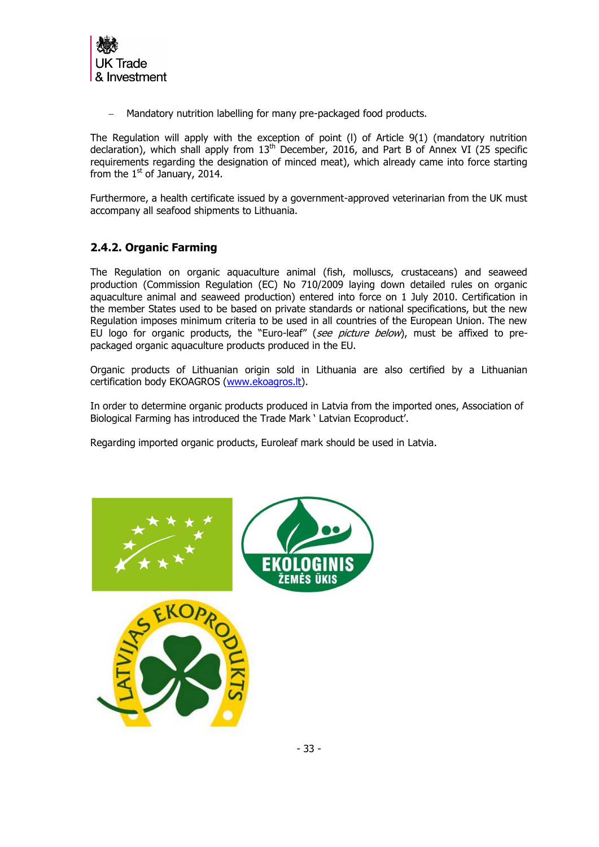

Mandatory nutrition labelling for many pre-packaged food products.

The Regulation will apply with the exception of point (l) of Article 9(1) (mandatory nutrition declaration), which shall apply from  $13<sup>th</sup>$  December, 2016, and Part B of Annex VI (25 specific requirements regarding the designation of minced meat), which already came into force starting from the  $1<sup>st</sup>$  of January, 2014.

Furthermore, a health certificate issued by a government-approved veterinarian from the UK must accompany all seafood shipments to Lithuania.

# <span id="page-32-0"></span>**2.4.2. Organic Farming**

The Regulation on organic aquaculture animal (fish, molluscs, crustaceans) and seaweed production (Commission Regulation (EC) No 710/2009 laying down detailed rules on organic aquaculture animal and seaweed production) entered into force on 1 July 2010. Certification in the member States used to be based on private standards or national specifications, but the new Regulation imposes minimum criteria to be used in all countries of the European Union. The new EU logo for organic products, the "Euro-leaf" (see picture below), must be affixed to prepackaged organic aquaculture products produced in the EU.

Organic products of Lithuanian origin sold in Lithuania are also certified by a Lithuanian certification body EKOAGROS [\(www.ekoagros.lt\)](http://www.ekoagros.lt/).

In order to determine organic products produced in Latvia from the imported ones, Association of Biological Farming has introduced the Trade Mark ' Latvian Ecoproduct'.

Regarding imported organic products, Euroleaf mark should be used in Latvia.

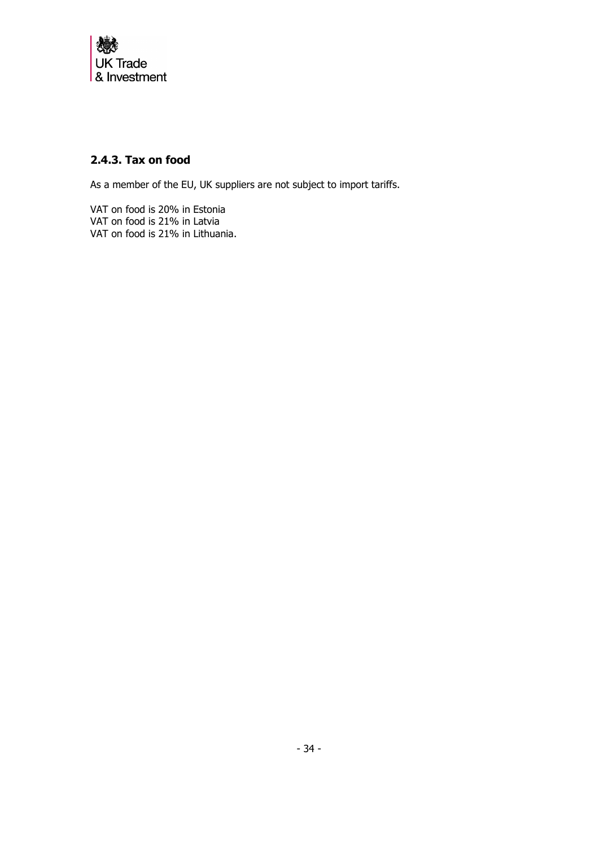

# <span id="page-33-0"></span>**2.4.3. Tax on food**

As a member of the EU, UK suppliers are not subject to import tariffs.

VAT on food is 20% in Estonia VAT on food is 21% in Latvia VAT on food is 21% in Lithuania.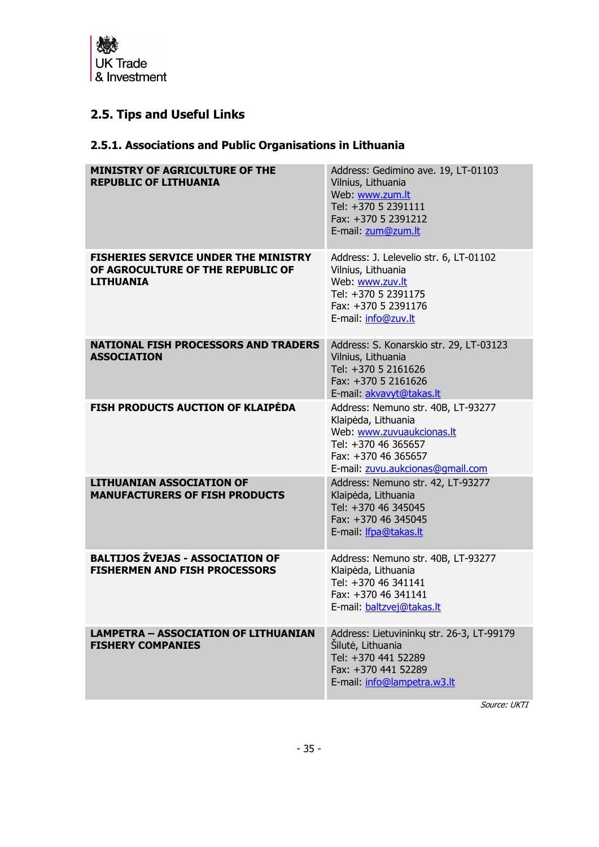

# <span id="page-34-0"></span>**2.5. Tips and Useful Links**

# <span id="page-34-1"></span>**2.5.1. Associations and Public Organisations in Lithuania**

| <b>MINISTRY OF AGRICULTURE OF THE</b><br><b>REPUBLIC OF LITHUANIA</b>                                | Address: Gedimino ave. 19, LT-01103<br>Vilnius, Lithuania<br>Web: www.zum.lt<br>Tel: +370 5 2391111<br>Fax: +370 5 2391212<br>E-mail: zum@zum.lt                         |
|------------------------------------------------------------------------------------------------------|--------------------------------------------------------------------------------------------------------------------------------------------------------------------------|
| <b>FISHERIES SERVICE UNDER THE MINISTRY</b><br>OF AGROCULTURE OF THE REPUBLIC OF<br><b>LITHUANIA</b> | Address: J. Lelevelio str. 6, LT-01102<br>Vilnius, Lithuania<br>Web: www.zuv.lt<br>Tel: +370 5 2391175<br>Fax: +370 5 2391176<br>E-mail: info@zuv.lt                     |
| <b>NATIONAL FISH PROCESSORS AND TRADERS</b><br><b>ASSOCIATION</b>                                    | Address: S. Konarskio str. 29, LT-03123<br>Vilnius, Lithuania<br>Tel: +370 5 2161626<br>Fax: +370 5 2161626<br>E-mail: akvavyt@takas.lt                                  |
| <b>FISH PRODUCTS AUCTION OF KLAIPEDA</b>                                                             | Address: Nemuno str. 40B, LT-93277<br>Klaipėda, Lithuania<br>Web: www.zuvuaukcionas.lt<br>Tel: +370 46 365657<br>Fax: +370 46 365657<br>E-mail: zuvu.aukcionas@gmail.com |
| <b>LITHUANIAN ASSOCIATION OF</b><br><b>MANUFACTURERS OF FISH PRODUCTS</b>                            | Address: Nemuno str. 42, LT-93277<br>Klaipėda, Lithuania<br>Tel: +370 46 345045<br>Fax: +370 46 345045<br>E-mail: <i>Ifpa@takas.lt</i>                                   |
| <b>BALTIJOS ŽVEJAS - ASSOCIATION OF</b><br><b>FISHERMEN AND FISH PROCESSORS</b>                      | Address: Nemuno str. 40B, LT-93277<br>Klaipėda, Lithuania<br>Tel: +370 46 341141<br>Fax: +370 46 341141<br>E-mail: baltzvej@takas.lt                                     |
| <b>LAMPETRA - ASSOCIATION OF LITHUANIAN</b><br><b>FISHERY COMPANIES</b>                              | Address: Lietuvininkų str. 26-3, LT-99179<br>Šilutė, Lithuania<br>Tel: +370 441 52289<br>Fax: +370 441 52289<br>E-mail: info@lampetra.w3.lt                              |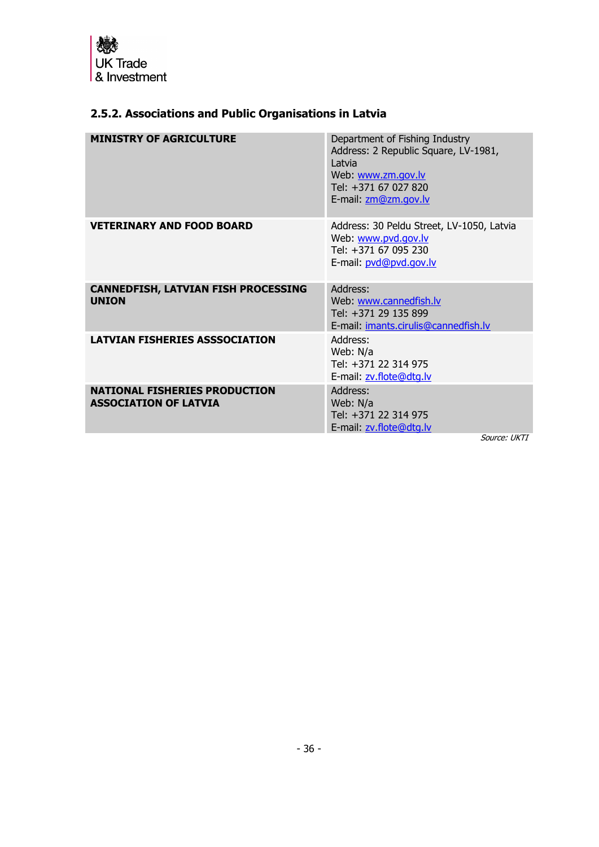

# <span id="page-35-0"></span>**2.5.2. Associations and Public Organisations in Latvia**

| <b>MINISTRY OF AGRICULTURE</b><br>Department of Fishing Industry<br>Address: 2 Republic Square, LV-1981,<br>Latvia<br>Web: www.zm.gov.lv<br>Tel: +371 67 027 820<br>E-mail: zm@zm.gov.lv<br><b>VETERINARY AND FOOD BOARD</b><br>Address: 30 Peldu Street, LV-1050, Latvia<br>Web: www.pvd.gov.lv<br>Tel: +371 67 095 230<br>E-mail: pvd@pvd.qov.lv<br><b>CANNEDFISH, LATVIAN FISH PROCESSING</b><br>Address:<br><b>UNION</b><br>Web: www.cannedfish.lv<br>Tel: +371 29 135 899<br>E-mail: imants.cirulis@cannedfish.lv<br><b>LATVIAN FISHERIES ASSSOCIATION</b><br>Address:<br>Web: N/a<br>Tel: +371 22 314 975<br>E-mail: zv.flote@dtg.lv<br>Address:<br><b>NATIONAL FISHERIES PRODUCTION</b><br><b>ASSOCIATION OF LATVIA</b><br>Web: N/a<br>Tel: +371 22 314 975<br>E-mail: zv.flote@dtg.lv |              |
|-----------------------------------------------------------------------------------------------------------------------------------------------------------------------------------------------------------------------------------------------------------------------------------------------------------------------------------------------------------------------------------------------------------------------------------------------------------------------------------------------------------------------------------------------------------------------------------------------------------------------------------------------------------------------------------------------------------------------------------------------------------------------------------------------|--------------|
|                                                                                                                                                                                                                                                                                                                                                                                                                                                                                                                                                                                                                                                                                                                                                                                               |              |
|                                                                                                                                                                                                                                                                                                                                                                                                                                                                                                                                                                                                                                                                                                                                                                                               |              |
|                                                                                                                                                                                                                                                                                                                                                                                                                                                                                                                                                                                                                                                                                                                                                                                               |              |
|                                                                                                                                                                                                                                                                                                                                                                                                                                                                                                                                                                                                                                                                                                                                                                                               |              |
|                                                                                                                                                                                                                                                                                                                                                                                                                                                                                                                                                                                                                                                                                                                                                                                               | Source: HKTI |